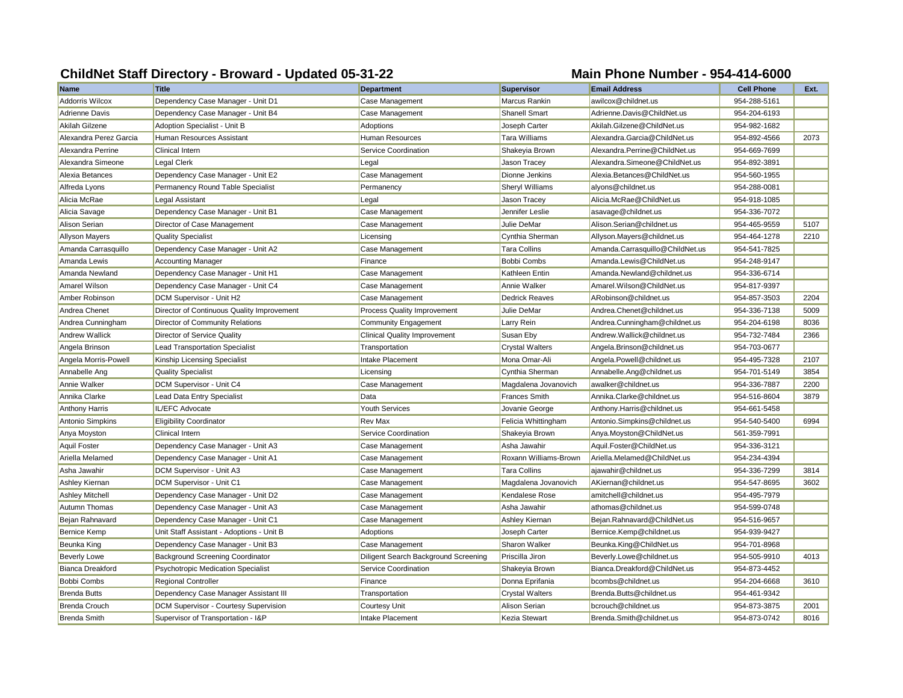## **ChildNet Staff Directory - Broward - Updated 05-31-22 Main Phone Number - 954-414-6000**

| <b>Name</b>             | <b>Title</b>                               | <b>Department</b>                    | <b>Supervisor</b>      | <b>Email Address</b>            | <b>Cell Phone</b> | Ext. |
|-------------------------|--------------------------------------------|--------------------------------------|------------------------|---------------------------------|-------------------|------|
| Addorris Wilcox         | Dependency Case Manager - Unit D1          | Case Management                      | Marcus Rankin          | awilcox@childnet.us             | 954-288-5161      |      |
| <b>Adrienne Davis</b>   | Dependency Case Manager - Unit B4          | Case Management                      | Shanell Smart          | Adrienne.Davis@ChildNet.us      | 954-204-6193      |      |
| <b>Akilah Gilzene</b>   | Adoption Specialist - Unit B               | Adoptions                            | Joseph Carter          | Akilah.Gilzene@ChildNet.us      | 954-982-1682      |      |
| Alexandra Perez Garcia  | Human Resources Assistant                  | Human Resources                      | Tara Williams          | Alexandra.Garcia@ChildNet.us    | 954-892-4566      | 2073 |
| Alexandra Perrine       | <b>Clinical Intern</b>                     | Service Coordination                 | Shakeyia Brown         | Alexandra.Perrine@ChildNet.us   | 954-669-7699      |      |
| Alexandra Simeone       | <b>Legal Clerk</b>                         | Legal                                | Jason Tracey           | Alexandra.Simeone@ChildNet.us   | 954-892-3891      |      |
| Alexia Betances         | Dependency Case Manager - Unit E2          | Case Management                      | Dionne Jenkins         | Alexia.Betances@ChildNet.us     | 954-560-1955      |      |
| Alfreda Lyons           | Permanency Round Table Specialist          | Permanency                           | <b>Sheryl Williams</b> | alyons@childnet.us              | 954-288-0081      |      |
| Alicia McRae            | Legal Assistant                            | Legal                                | Jason Tracey           | Alicia.McRae@ChildNet.us        | 954-918-1085      |      |
| Alicia Savage           | Dependency Case Manager - Unit B1          | Case Management                      | Jennifer Leslie        | asavage@childnet.us             | 954-336-7072      |      |
| Alison Serian           | Director of Case Management                | Case Management                      | Julie DeMar            | Alison.Serian@childnet.us       | 954-465-9559      | 5107 |
| <b>Allyson Mayers</b>   | <b>Quality Specialist</b>                  | Licensing                            | Cynthia Sherman        | Allyson.Mayers@childnet.us      | 954-464-1278      | 2210 |
| Amanda Carrasquillo     | Dependency Case Manager - Unit A2          | Case Management                      | <b>Tara Collins</b>    | Amanda.Carrasquillo@ChildNet.us | 954-541-7825      |      |
| Amanda Lewis            | <b>Accounting Manager</b>                  | Finance                              | Bobbi Combs            | Amanda.Lewis@ChildNet.us        | 954-248-9147      |      |
| Amanda Newland          | Dependency Case Manager - Unit H1          | Case Management                      | Kathleen Entin         | Amanda.Newland@childnet.us      | 954-336-6714      |      |
| <b>Amarel Wilson</b>    | Dependency Case Manager - Unit C4          | Case Management                      | Annie Walker           | Amarel. Wilson@ChildNet.us      | 954-817-9397      |      |
| Amber Robinson          | DCM Supervisor - Unit H2                   | Case Management                      | <b>Dedrick Reaves</b>  | ARobinson@childnet.us           | 954-857-3503      | 2204 |
| Andrea Chenet           | Director of Continuous Quality Improvement | Process Quality Improvement          | Julie DeMar            | Andrea. Chenet@childnet.us      | 954-336-7138      | 5009 |
| Andrea Cunningham       | Director of Community Relations            | Community Engagement                 | Larry Rein             | Andrea.Cunningham@childnet.us   | 954-204-6198      | 8036 |
| <b>Andrew Wallick</b>   | Director of Service Quality                | <b>Clinical Quality Improvement</b>  | Susan Eby              | Andrew.Wallick@childnet.us      | 954-732-7484      | 2366 |
| Angela Brinson          | <b>Lead Transportation Specialist</b>      | Transportation                       | <b>Crystal Walters</b> | Angela.Brinson@childnet.us      | 954-703-0677      |      |
| Angela Morris-Powell    | Kinship Licensing Specialist               | Intake Placement                     | Mona Omar-Ali          | Angela.Powell@childnet.us       | 954-495-7328      | 2107 |
| Annabelle Ang           | <b>Quality Specialist</b>                  | Licensing                            | Cynthia Sherman        | Annabelle.Ang@childnet.us       | 954-701-5149      | 3854 |
| Annie Walker            | DCM Supervisor - Unit C4                   | Case Management                      | Magdalena Jovanovich   | awalker@childnet.us             | 954-336-7887      | 2200 |
| Annika Clarke           | Lead Data Entry Specialist                 | Data                                 | <b>Frances Smith</b>   | Annika.Clarke@childnet.us       | 954-516-8604      | 3879 |
| <b>Anthony Harris</b>   | IL/EFC Advocate                            | Youth Services                       | Jovanie George         | Anthony.Harris@childnet.us      | 954-661-5458      |      |
| Antonio Simpkins        | <b>Eligibility Coordinator</b>             | <b>Rev Max</b>                       | Felicia Whittingham    | Antonio.Simpkins@childnet.us    | 954-540-5400      | 6994 |
| Anya Moyston            | <b>Clinical Intern</b>                     | Service Coordination                 | Shakeyia Brown         | Anya.Moyston@ChildNet.us        | 561-359-7991      |      |
| Aquil Foster            | Dependency Case Manager - Unit A3          | Case Management                      | Asha Jawahir           | Aquil.Foster@ChildNet.us        | 954-336-3121      |      |
| Ariella Melamed         | Dependency Case Manager - Unit A1          | Case Management                      | Roxann Williams-Brown  | Ariella.Melamed@ChildNet.us     | 954-234-4394      |      |
| Asha Jawahir            | DCM Supervisor - Unit A3                   | Case Management                      | <b>Tara Collins</b>    | ajawahir@childnet.us            | 954-336-7299      | 3814 |
| Ashley Kiernan          | DCM Supervisor - Unit C1                   | Case Management                      | Magdalena Jovanovich   | AKiernan@childnet.us            | 954-547-8695      | 3602 |
| <b>Ashley Mitchell</b>  | Dependency Case Manager - Unit D2          | Case Management                      | Kendalese Rose         | amitchell@childnet.us           | 954-495-7979      |      |
| Autumn Thomas           | Dependency Case Manager - Unit A3          | Case Management                      | Asha Jawahir           | athomas@childnet.us             | 954-599-0748      |      |
| Bejan Rahnavard         | Dependency Case Manager - Unit C1          | Case Management                      | Ashley Kiernan         | Bejan.Rahnavard@ChildNet.us     | 954-516-9657      |      |
| <b>Bernice Kemp</b>     | Unit Staff Assistant - Adoptions - Unit B  | Adoptions                            | Joseph Carter          | Bernice.Kemp@childnet.us        | 954-939-9427      |      |
| Beunka King             | Dependency Case Manager - Unit B3          | Case Management                      | Sharon Walker          | Beunka.King@ChildNet.us         | 954-701-8968      |      |
| <b>Beverly Lowe</b>     | Background Screening Coordinator           | Diligent Search Background Screening | Priscilla Jiron        | Beverly.Lowe@childnet.us        | 954-505-9910      | 4013 |
| <b>Bianca Dreakford</b> | <b>Psychotropic Medication Specialist</b>  | Service Coordination                 | Shakeyia Brown         | Bianca.Dreakford@ChildNet.us    | 954-873-4452      |      |
| <b>Bobbi Combs</b>      | <b>Regional Controller</b>                 | Finance                              | Donna Eprifania        | bcombs@childnet.us              | 954-204-6668      | 3610 |
| <b>Brenda Butts</b>     | Dependency Case Manager Assistant III      | Transportation                       | <b>Crystal Walters</b> | Brenda.Butts@childnet.us        | 954-461-9342      |      |
| <b>Brenda Crouch</b>    | DCM Supervisor - Courtesy Supervision      | <b>Courtesy Unit</b>                 | Alison Serian          | bcrouch@childnet.us             | 954-873-3875      | 2001 |
| Brenda Smith            | Supervisor of Transportation - I&P         | <b>Intake Placement</b>              | Kezia Stewart          | Brenda.Smith@childnet.us        | 954-873-0742      | 8016 |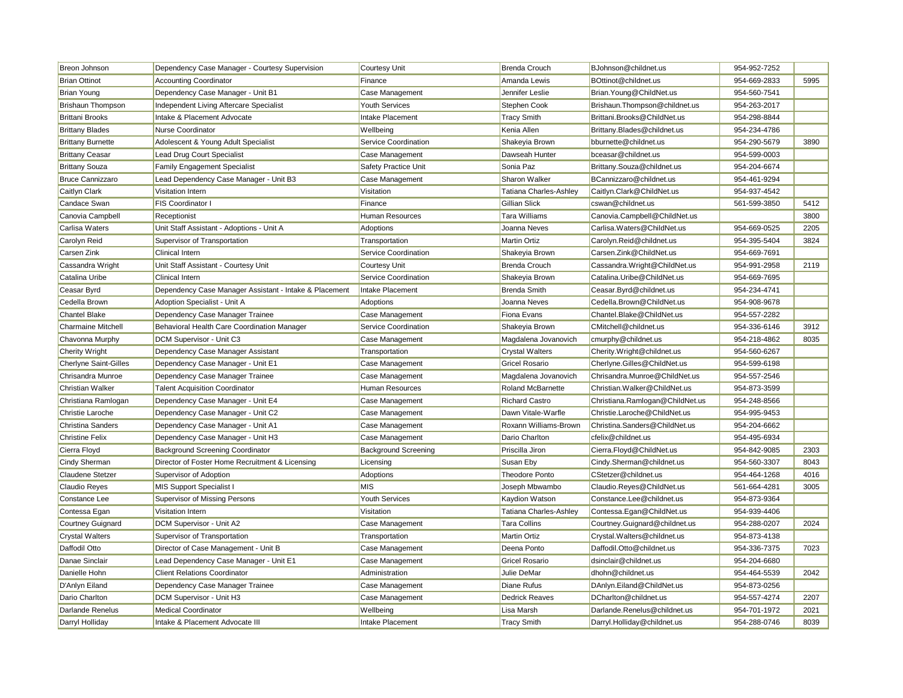| <b>Breon Johnson</b>         | Dependency Case Manager - Courtesy Supervision         | <b>Courtesy Unit</b>        | <b>Brenda Crouch</b>     | BJohnson@childnet.us            | 954-952-7252 |      |
|------------------------------|--------------------------------------------------------|-----------------------------|--------------------------|---------------------------------|--------------|------|
| <b>Brian Ottinot</b>         | <b>Accounting Coordinator</b>                          | Finance                     | Amanda Lewis             | BOttinot@childnet.us            | 954-669-2833 | 5995 |
| <b>Brian Young</b>           | Dependency Case Manager - Unit B1                      | Case Management             | Jennifer Leslie          | Brian. Young@ChildNet.us        | 954-560-7541 |      |
| <b>Brishaun Thompson</b>     | Independent Living Aftercare Specialist                | <b>Youth Services</b>       | Stephen Cook             | Brishaun. Thompson@childnet.us  | 954-263-2017 |      |
| <b>Brittani Brooks</b>       | Intake & Placement Advocate                            | Intake Placement            | Tracy Smith              | Brittani.Brooks@ChildNet.us     | 954-298-8844 |      |
| <b>Brittany Blades</b>       | Nurse Coordinator                                      | Wellbeing                   | Kenia Allen              | Brittany.Blades@childnet.us     | 954-234-4786 |      |
| <b>Brittany Burnette</b>     | Adolescent & Young Adult Specialist                    | Service Coordination        | Shakeyia Brown           | bburnette@childnet.us           | 954-290-5679 | 3890 |
| <b>Brittany Ceasar</b>       | Lead Drug Court Specialist                             | Case Management             | Dawseah Hunter           | bceasar@childnet.us             | 954-599-0003 |      |
| <b>Brittany Souza</b>        | <b>Family Engagement Specialist</b>                    | Safety Practice Unit        | Sonia Paz                | Brittany.Souza@childnet.us      | 954-204-6674 |      |
| <b>Bruce Cannizzaro</b>      | Lead Dependency Case Manager - Unit B3                 | Case Management             | Sharon Walker            | BCannizzaro@childnet.us         | 954-461-9294 |      |
| Caitlyn Clark                | Visitation Intern                                      | Visitation                  | Tatiana Charles-Ashley   | Caitlyn.Clark@ChildNet.us       | 954-937-4542 |      |
| Candace Swan                 | <b>FIS Coordinator I</b>                               | Finance                     | Gillian Slick            | cswan@childnet.us               | 561-599-3850 | 5412 |
| Canovia Campbell             | Receptionist                                           | <b>Human Resources</b>      | <b>Tara Williams</b>     | Canovia.Campbell@ChildNet.us    |              | 3800 |
| Carlisa Waters               | Unit Staff Assistant - Adoptions - Unit A              | Adoptions                   | Joanna Neves             | Carlisa. Waters@ChildNet.us     | 954-669-0525 | 2205 |
| Carolyn Reid                 | Supervisor of Transportation                           | Transportation              | Martin Ortiz             | Carolyn.Reid@childnet.us        | 954-395-5404 | 3824 |
| Carsen Zink                  | <b>Clinical Intern</b>                                 | Service Coordination        | Shakeyia Brown           | Carsen.Zink@ChildNet.us         | 954-669-7691 |      |
| Cassandra Wright             | Unit Staff Assistant - Courtesy Unit                   | <b>Courtesy Unit</b>        | <b>Brenda Crouch</b>     | Cassandra. Wright@ChildNet.us   | 954-991-2958 | 2119 |
| Catalina Uribe               | Clinical Intern                                        | Service Coordination        | Shakeyia Brown           | Catalina.Uribe@ChildNet.us      | 954-669-7695 |      |
| Ceasar Byrd                  | Dependency Case Manager Assistant - Intake & Placement | Intake Placement            | <b>Brenda Smith</b>      | Ceasar.Byrd@childnet.us         | 954-234-4741 |      |
| Cedella Brown                | Adoption Specialist - Unit A                           | Adoptions                   | Joanna Neves             | Cedella.Brown@ChildNet.us       | 954-908-9678 |      |
| <b>Chantel Blake</b>         | Dependency Case Manager Trainee                        | Case Management             | Fiona Evans              | Chantel.Blake@ChildNet.us       | 954-557-2282 |      |
| <b>Charmaine Mitchell</b>    | Behavioral Health Care Coordination Manager            | Service Coordination        | Shakeyia Brown           | CMitchell@childnet.us           | 954-336-6146 | 3912 |
| Chavonna Murphy              | DCM Supervisor - Unit C3                               | Case Management             | Magdalena Jovanovich     | cmurphy@childnet.us             | 954-218-4862 | 8035 |
| <b>Cherity Wright</b>        | Dependency Case Manager Assistant                      | Transportation              | <b>Crystal Walters</b>   | Cherity.Wright@childnet.us      | 954-560-6267 |      |
| <b>Cherlyne Saint-Gilles</b> | Dependency Case Manager - Unit E1                      | Case Management             | Gricel Rosario           | Cherlyne.Gilles@ChildNet.us     | 954-599-6198 |      |
| Chrisandra Munroe            | Dependency Case Manager Trainee                        | Case Management             | Magdalena Jovanovich     | Chrisandra.Munroe@ChildNet.us   | 954-557-2546 |      |
| <b>Christian Walker</b>      | <b>Talent Acquisition Coordinator</b>                  | <b>Human Resources</b>      | <b>Roland McBarnette</b> | Christian. Walker@ChildNet.us   | 954-873-3599 |      |
| Christiana Ramlogan          | Dependency Case Manager - Unit E4                      | Case Management             | <b>Richard Castro</b>    | Christiana.Ramlogan@ChildNet.us | 954-248-8566 |      |
| Christie Laroche             | Dependency Case Manager - Unit C2                      | Case Management             | Dawn Vitale-Warfle       | Christie.Laroche@ChildNet.us    | 954-995-9453 |      |
| <b>Christina Sanders</b>     | Dependency Case Manager - Unit A1                      | Case Management             | Roxann Williams-Brown    | Christina.Sanders@ChildNet.us   | 954-204-6662 |      |
| <b>Christine Felix</b>       | Dependency Case Manager - Unit H3                      | Case Management             | Dario Charlton           | cfelix@childnet.us              | 954-495-6934 |      |
| Cierra Floyd                 | <b>Background Screening Coordinator</b>                | <b>Background Screening</b> | Priscilla Jiron          | Cierra.Floyd@ChildNet.us        | 954-842-9085 | 2303 |
| Cindy Sherman                | Director of Foster Home Recruitment & Licensing        | Licensing                   | Susan Eby                | Cindy.Sherman@childnet.us       | 954-560-3307 | 8043 |
| Claudene Stetzer             | Supervisor of Adoption                                 | Adoptions                   | <b>Theodore Ponto</b>    | CStetzer@childnet.us            | 954-464-1268 | 4016 |
| <b>Claudio Reyes</b>         | MIS Support Specialist I                               | <b>MIS</b>                  | Joseph Mbwambo           | Claudio.Reyes@ChildNet.us       | 561-664-4281 | 3005 |
| Constance Lee                | Supervisor of Missing Persons                          | <b>Youth Services</b>       | Kaydion Watson           | Constance.Lee@childnet.us       | 954-873-9364 |      |
| Contessa Egan                | Visitation Intern                                      | Visitation                  | Tatiana Charles-Ashley   | Contessa.Egan@ChildNet.us       | 954-939-4406 |      |
| <b>Courtney Guignard</b>     | DCM Supervisor - Unit A2                               | Case Management             | <b>Tara Collins</b>      | Courtney.Guignard@childnet.us   | 954-288-0207 | 2024 |
| <b>Crystal Walters</b>       | Supervisor of Transportation                           | Transportation              | Martin Ortiz             | Crystal. Walters@childnet.us    | 954-873-4138 |      |
| Daffodil Otto                | Director of Case Management - Unit B                   | Case Management             | Deena Ponto              | Daffodil.Otto@childnet.us       | 954-336-7375 | 7023 |
| Danae Sinclair               | Lead Dependency Case Manager - Unit E1                 | Case Management             | Gricel Rosario           | dsinclair@childnet.us           | 954-204-6680 |      |
| Danielle Hohn                | <b>Client Relations Coordinator</b>                    | Administration              | Julie DeMar              | dhohn@childnet.us               | 954-464-5539 | 2042 |
| D'Anlyn Eiland               | Dependency Case Manager Trainee                        | Case Management             | Diane Rufus              | DAnlyn.Eiland@ChildNet.us       | 954-873-0256 |      |
| Dario Charlton               | DCM Supervisor - Unit H3                               | Case Management             | <b>Dedrick Reaves</b>    | DCharlton@childnet.us           | 954-557-4274 | 2207 |
| <b>Darlande Renelus</b>      | <b>Medical Coordinator</b>                             | Wellbeing                   | Lisa Marsh               | Darlande.Renelus@childnet.us    | 954-701-1972 | 2021 |
| Darryl Holliday              | Intake & Placement Advocate III                        | Intake Placement            | <b>Tracy Smith</b>       | Darryl.Holliday@childnet.us     | 954-288-0746 | 8039 |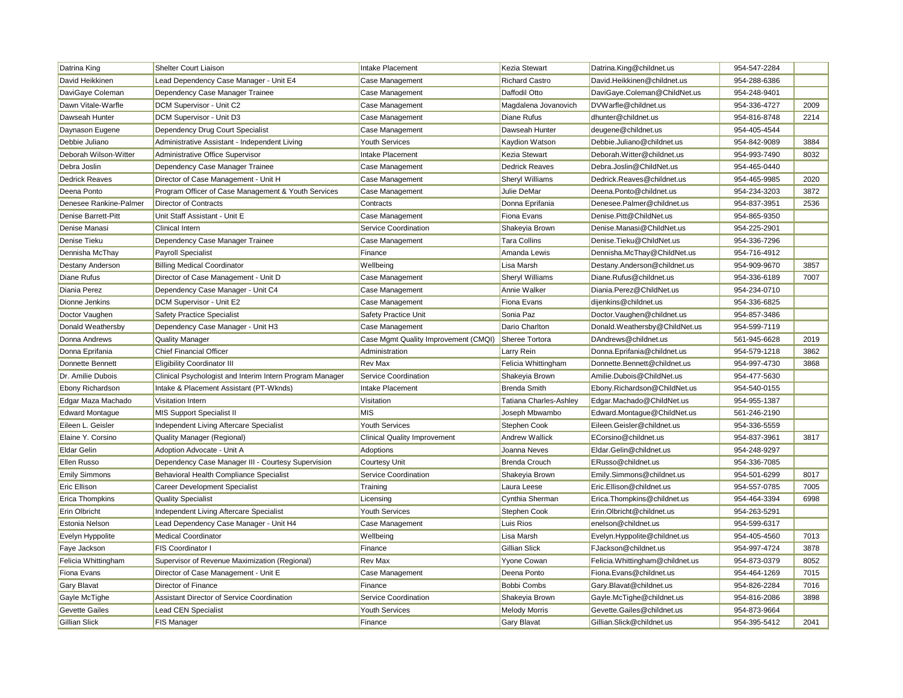| <b>Richard Castro</b><br>Lead Dependency Case Manager - Unit E4<br>Case Management<br>David.Heikkinen@childnet.us<br>954-288-6386<br>Dependency Case Manager Trainee<br>Case Management<br>Daffodil Otto<br>DaviGaye.Coleman@ChildNet.us<br>954-248-9401<br>DCM Supervisor - Unit C2<br>Magdalena Jovanovich<br>DVWarfle@childnet.us<br>954-336-4727<br>2009<br>Case Management<br>dhunter@childnet.us<br>2214<br>DCM Supervisor - Unit D3<br>Case Management<br>Diane Rufus<br>954-816-8748<br>Case Management<br>Dawseah Hunter<br>deugene@childnet.us<br>954-405-4544<br>Dependency Drug Court Specialist<br>3884<br>Administrative Assistant - Independent Living<br><b>Youth Services</b><br>Kaydion Watson<br>Debbie.Juliano@childnet.us<br>954-842-9089<br><b>Intake Placement</b><br>8032<br>Administrative Office Supervisor<br>Kezia Stewart<br>Deborah. Witter@childnet.us<br>954-993-7490<br>Dependency Case Manager Trainee<br>Case Management<br><b>Dedrick Reaves</b><br>Debra.Joslin@ChildNet.us<br>954-465-0440<br>Director of Case Management - Unit H<br>Case Management<br>Sheryl Williams<br>Dedrick.Reaves@childnet.us<br>954-465-9985<br>2020<br>3872<br>Program Officer of Case Management & Youth Services<br>Case Management<br>Julie DeMar<br>Deena.Ponto@childnet.us<br>954-234-3203<br>2536<br><b>Director of Contracts</b><br>Contracts<br>Donna Eprifania<br>Denesee.Palmer@childnet.us<br>954-837-3951<br>Unit Staff Assistant - Unit E<br>Case Management<br>Fiona Evans<br>Denise.Pitt@ChildNet.us<br>954-865-9350<br>Service Coordination<br>Denise.Manasi@ChildNet.us<br>954-225-2901<br><b>Clinical Intern</b><br>Shakeyia Brown<br>Dependency Case Manager Trainee<br><b>Tara Collins</b><br>Denise.Tieku@ChildNet.us<br>Case Management<br>954-336-7296<br>Amanda Lewis<br><b>Payroll Specialist</b><br>Finance<br>Dennisha.McThay@ChildNet.us<br>954-716-4912<br>3857<br><b>Billing Medical Coordinator</b><br>Wellbeing<br>Lisa Marsh<br>Destany.Anderson@childnet.us<br>954-909-9670<br>954-336-6189<br>7007<br>Director of Case Management - Unit D<br>Case Management<br>Sheryl Williams<br>Diane.Rufus@childnet.us<br>Dependency Case Manager - Unit C4<br>Case Management<br>Annie Walker<br>Diania.Perez@ChildNet.us<br>954-234-0710<br>DCM Supervisor - Unit E2<br>Case Management<br>Fiona Evans<br>dijenkins@childnet.us<br>954-336-6825<br><b>Safety Practice Specialist</b><br>Safety Practice Unit<br>Doctor.Vaughen@childnet.us<br>Sonia Paz<br>954-857-3486<br>954-599-7119<br>Dependency Case Manager - Unit H3<br>Case Management<br>Dario Charlton<br>Donald. Weathersby@ChildNet.us<br>Case Mgmt Quality Improvement (CMQI)<br>DAndrews@childnet.us<br>2019<br><b>Quality Manager</b><br>Sheree Tortora<br>561-945-6628<br><b>Chief Financial Officer</b><br>3862<br>Administration<br>Larry Rein<br>Donna.Eprifania@childnet.us<br>954-579-1218<br>3868<br><b>Eligibility Coordinator III</b><br>Rev Max<br>Felicia Whittingham<br>Donnette.Bennett@childnet.us<br>954-997-4730<br>Clinical Psychologist and Interim Intern Program Manager<br>Service Coordination<br>Shakeyia Brown<br>Amilie.Dubois@ChildNet.us<br>954-477-5630<br>Intake & Placement Assistant (PT-Wknds)<br>Intake Placement<br><b>Brenda Smith</b><br>Ebony.Richardson@ChildNet.us<br>954-540-0155<br>Visitation Intern<br>Visitation<br><b>Tatiana Charles-Ashley</b><br>Edgar.Machado@ChildNet.us<br>954-955-1387<br><b>MIS</b><br><b>MIS Support Specialist II</b><br>Joseph Mbwambo<br>Edward.Montaque@ChildNet.us<br>561-246-2190<br>Independent Living Aftercare Specialist<br><b>Youth Services</b><br>Stephen Cook<br>Eileen.Geisler@childnet.us<br>954-336-5559<br>3817<br>Quality Manager (Regional)<br><b>Clinical Quality Improvement</b><br><b>Andrew Wallick</b><br>ECorsino@childnet.us<br>954-837-3961<br>Adoption Advocate - Unit A<br>Joanna Neves<br>Eldar.Gelin@childnet.us<br>954-248-9297<br>Adoptions<br>Dependency Case Manager III - Courtesy Supervision<br><b>Courtesy Unit</b><br><b>Brenda Crouch</b><br>ERusso@childnet.us<br>954-336-7085<br>8017<br>Behavioral Health Compliance Specialist<br>Service Coordination<br>Shakeyia Brown<br>Emily.Simmons@childnet.us<br>954-501-6299<br>7005<br><b>Career Development Specialist</b><br>Laura Leese<br>Eric.Ellison@childnet.us<br>954-557-0785<br>Training<br>954-464-3394<br>6998<br><b>Quality Specialist</b><br>Licensing<br>Cynthia Sherman<br>Erica. Thompkins@childnet.us<br>Independent Living Aftercare Specialist<br><b>Youth Services</b><br>Stephen Cook<br>Erin.Olbricht@childnet.us<br>954-263-5291<br>Lead Dependency Case Manager - Unit H4<br>Case Management<br>Luis Rios<br>enelson@childnet.us<br>954-599-6317 | Datrina King            | Shelter Court Liaison      | Intake Placement | Kezia Stewart | Datrina.King@childnet.us     | 954-547-2284 |      |
|----------------------------------------------------------------------------------------------------------------------------------------------------------------------------------------------------------------------------------------------------------------------------------------------------------------------------------------------------------------------------------------------------------------------------------------------------------------------------------------------------------------------------------------------------------------------------------------------------------------------------------------------------------------------------------------------------------------------------------------------------------------------------------------------------------------------------------------------------------------------------------------------------------------------------------------------------------------------------------------------------------------------------------------------------------------------------------------------------------------------------------------------------------------------------------------------------------------------------------------------------------------------------------------------------------------------------------------------------------------------------------------------------------------------------------------------------------------------------------------------------------------------------------------------------------------------------------------------------------------------------------------------------------------------------------------------------------------------------------------------------------------------------------------------------------------------------------------------------------------------------------------------------------------------------------------------------------------------------------------------------------------------------------------------------------------------------------------------------------------------------------------------------------------------------------------------------------------------------------------------------------------------------------------------------------------------------------------------------------------------------------------------------------------------------------------------------------------------------------------------------------------------------------------------------------------------------------------------------------------------------------------------------------------------------------------------------------------------------------------------------------------------------------------------------------------------------------------------------------------------------------------------------------------------------------------------------------------------------------------------------------------------------------------------------------------------------------------------------------------------------------------------------------------------------------------------------------------------------------------------------------------------------------------------------------------------------------------------------------------------------------------------------------------------------------------------------------------------------------------------------------------------------------------------------------------------------------------------------------------------------------------------------------------------------------------------------------------------------------------------------------------------------------------------------------------------------------------------------------------------------------------------------------------------------------------------------------------------------------------------------------------------------------------------------------------------------------------------------------------------------------------------------------------------------------------------------------------------------------------------------------------------------------------------------------------------------------------------------------------------------------------------------------------------------------------------------------------------------------------------------------------------------------------------------------------------------------------------------------------------------------------------------------------------------------------------------------------------------------------------------|-------------------------|----------------------------|------------------|---------------|------------------------------|--------------|------|
|                                                                                                                                                                                                                                                                                                                                                                                                                                                                                                                                                                                                                                                                                                                                                                                                                                                                                                                                                                                                                                                                                                                                                                                                                                                                                                                                                                                                                                                                                                                                                                                                                                                                                                                                                                                                                                                                                                                                                                                                                                                                                                                                                                                                                                                                                                                                                                                                                                                                                                                                                                                                                                                                                                                                                                                                                                                                                                                                                                                                                                                                                                                                                                                                                                                                                                                                                                                                                                                                                                                                                                                                                                                                                                                                                                                                                                                                                                                                                                                                                                                                                                                                                                                                                                                                                                                                                                                                                                                                                                                                                                                                                                                                                                                                                    | David Heikkinen         |                            |                  |               |                              |              |      |
|                                                                                                                                                                                                                                                                                                                                                                                                                                                                                                                                                                                                                                                                                                                                                                                                                                                                                                                                                                                                                                                                                                                                                                                                                                                                                                                                                                                                                                                                                                                                                                                                                                                                                                                                                                                                                                                                                                                                                                                                                                                                                                                                                                                                                                                                                                                                                                                                                                                                                                                                                                                                                                                                                                                                                                                                                                                                                                                                                                                                                                                                                                                                                                                                                                                                                                                                                                                                                                                                                                                                                                                                                                                                                                                                                                                                                                                                                                                                                                                                                                                                                                                                                                                                                                                                                                                                                                                                                                                                                                                                                                                                                                                                                                                                                    | DaviGaye Coleman        |                            |                  |               |                              |              |      |
|                                                                                                                                                                                                                                                                                                                                                                                                                                                                                                                                                                                                                                                                                                                                                                                                                                                                                                                                                                                                                                                                                                                                                                                                                                                                                                                                                                                                                                                                                                                                                                                                                                                                                                                                                                                                                                                                                                                                                                                                                                                                                                                                                                                                                                                                                                                                                                                                                                                                                                                                                                                                                                                                                                                                                                                                                                                                                                                                                                                                                                                                                                                                                                                                                                                                                                                                                                                                                                                                                                                                                                                                                                                                                                                                                                                                                                                                                                                                                                                                                                                                                                                                                                                                                                                                                                                                                                                                                                                                                                                                                                                                                                                                                                                                                    | Dawn Vitale-Warfle      |                            |                  |               |                              |              |      |
|                                                                                                                                                                                                                                                                                                                                                                                                                                                                                                                                                                                                                                                                                                                                                                                                                                                                                                                                                                                                                                                                                                                                                                                                                                                                                                                                                                                                                                                                                                                                                                                                                                                                                                                                                                                                                                                                                                                                                                                                                                                                                                                                                                                                                                                                                                                                                                                                                                                                                                                                                                                                                                                                                                                                                                                                                                                                                                                                                                                                                                                                                                                                                                                                                                                                                                                                                                                                                                                                                                                                                                                                                                                                                                                                                                                                                                                                                                                                                                                                                                                                                                                                                                                                                                                                                                                                                                                                                                                                                                                                                                                                                                                                                                                                                    | Dawseah Hunter          |                            |                  |               |                              |              |      |
|                                                                                                                                                                                                                                                                                                                                                                                                                                                                                                                                                                                                                                                                                                                                                                                                                                                                                                                                                                                                                                                                                                                                                                                                                                                                                                                                                                                                                                                                                                                                                                                                                                                                                                                                                                                                                                                                                                                                                                                                                                                                                                                                                                                                                                                                                                                                                                                                                                                                                                                                                                                                                                                                                                                                                                                                                                                                                                                                                                                                                                                                                                                                                                                                                                                                                                                                                                                                                                                                                                                                                                                                                                                                                                                                                                                                                                                                                                                                                                                                                                                                                                                                                                                                                                                                                                                                                                                                                                                                                                                                                                                                                                                                                                                                                    | Daynason Eugene         |                            |                  |               |                              |              |      |
|                                                                                                                                                                                                                                                                                                                                                                                                                                                                                                                                                                                                                                                                                                                                                                                                                                                                                                                                                                                                                                                                                                                                                                                                                                                                                                                                                                                                                                                                                                                                                                                                                                                                                                                                                                                                                                                                                                                                                                                                                                                                                                                                                                                                                                                                                                                                                                                                                                                                                                                                                                                                                                                                                                                                                                                                                                                                                                                                                                                                                                                                                                                                                                                                                                                                                                                                                                                                                                                                                                                                                                                                                                                                                                                                                                                                                                                                                                                                                                                                                                                                                                                                                                                                                                                                                                                                                                                                                                                                                                                                                                                                                                                                                                                                                    | Debbie Juliano          |                            |                  |               |                              |              |      |
|                                                                                                                                                                                                                                                                                                                                                                                                                                                                                                                                                                                                                                                                                                                                                                                                                                                                                                                                                                                                                                                                                                                                                                                                                                                                                                                                                                                                                                                                                                                                                                                                                                                                                                                                                                                                                                                                                                                                                                                                                                                                                                                                                                                                                                                                                                                                                                                                                                                                                                                                                                                                                                                                                                                                                                                                                                                                                                                                                                                                                                                                                                                                                                                                                                                                                                                                                                                                                                                                                                                                                                                                                                                                                                                                                                                                                                                                                                                                                                                                                                                                                                                                                                                                                                                                                                                                                                                                                                                                                                                                                                                                                                                                                                                                                    | Deborah Wilson-Witter   |                            |                  |               |                              |              |      |
|                                                                                                                                                                                                                                                                                                                                                                                                                                                                                                                                                                                                                                                                                                                                                                                                                                                                                                                                                                                                                                                                                                                                                                                                                                                                                                                                                                                                                                                                                                                                                                                                                                                                                                                                                                                                                                                                                                                                                                                                                                                                                                                                                                                                                                                                                                                                                                                                                                                                                                                                                                                                                                                                                                                                                                                                                                                                                                                                                                                                                                                                                                                                                                                                                                                                                                                                                                                                                                                                                                                                                                                                                                                                                                                                                                                                                                                                                                                                                                                                                                                                                                                                                                                                                                                                                                                                                                                                                                                                                                                                                                                                                                                                                                                                                    | Debra Joslin            |                            |                  |               |                              |              |      |
|                                                                                                                                                                                                                                                                                                                                                                                                                                                                                                                                                                                                                                                                                                                                                                                                                                                                                                                                                                                                                                                                                                                                                                                                                                                                                                                                                                                                                                                                                                                                                                                                                                                                                                                                                                                                                                                                                                                                                                                                                                                                                                                                                                                                                                                                                                                                                                                                                                                                                                                                                                                                                                                                                                                                                                                                                                                                                                                                                                                                                                                                                                                                                                                                                                                                                                                                                                                                                                                                                                                                                                                                                                                                                                                                                                                                                                                                                                                                                                                                                                                                                                                                                                                                                                                                                                                                                                                                                                                                                                                                                                                                                                                                                                                                                    | <b>Dedrick Reaves</b>   |                            |                  |               |                              |              |      |
|                                                                                                                                                                                                                                                                                                                                                                                                                                                                                                                                                                                                                                                                                                                                                                                                                                                                                                                                                                                                                                                                                                                                                                                                                                                                                                                                                                                                                                                                                                                                                                                                                                                                                                                                                                                                                                                                                                                                                                                                                                                                                                                                                                                                                                                                                                                                                                                                                                                                                                                                                                                                                                                                                                                                                                                                                                                                                                                                                                                                                                                                                                                                                                                                                                                                                                                                                                                                                                                                                                                                                                                                                                                                                                                                                                                                                                                                                                                                                                                                                                                                                                                                                                                                                                                                                                                                                                                                                                                                                                                                                                                                                                                                                                                                                    | Deena Ponto             |                            |                  |               |                              |              |      |
|                                                                                                                                                                                                                                                                                                                                                                                                                                                                                                                                                                                                                                                                                                                                                                                                                                                                                                                                                                                                                                                                                                                                                                                                                                                                                                                                                                                                                                                                                                                                                                                                                                                                                                                                                                                                                                                                                                                                                                                                                                                                                                                                                                                                                                                                                                                                                                                                                                                                                                                                                                                                                                                                                                                                                                                                                                                                                                                                                                                                                                                                                                                                                                                                                                                                                                                                                                                                                                                                                                                                                                                                                                                                                                                                                                                                                                                                                                                                                                                                                                                                                                                                                                                                                                                                                                                                                                                                                                                                                                                                                                                                                                                                                                                                                    | Denesee Rankine-Palmer  |                            |                  |               |                              |              |      |
|                                                                                                                                                                                                                                                                                                                                                                                                                                                                                                                                                                                                                                                                                                                                                                                                                                                                                                                                                                                                                                                                                                                                                                                                                                                                                                                                                                                                                                                                                                                                                                                                                                                                                                                                                                                                                                                                                                                                                                                                                                                                                                                                                                                                                                                                                                                                                                                                                                                                                                                                                                                                                                                                                                                                                                                                                                                                                                                                                                                                                                                                                                                                                                                                                                                                                                                                                                                                                                                                                                                                                                                                                                                                                                                                                                                                                                                                                                                                                                                                                                                                                                                                                                                                                                                                                                                                                                                                                                                                                                                                                                                                                                                                                                                                                    | Denise Barrett-Pitt     |                            |                  |               |                              |              |      |
|                                                                                                                                                                                                                                                                                                                                                                                                                                                                                                                                                                                                                                                                                                                                                                                                                                                                                                                                                                                                                                                                                                                                                                                                                                                                                                                                                                                                                                                                                                                                                                                                                                                                                                                                                                                                                                                                                                                                                                                                                                                                                                                                                                                                                                                                                                                                                                                                                                                                                                                                                                                                                                                                                                                                                                                                                                                                                                                                                                                                                                                                                                                                                                                                                                                                                                                                                                                                                                                                                                                                                                                                                                                                                                                                                                                                                                                                                                                                                                                                                                                                                                                                                                                                                                                                                                                                                                                                                                                                                                                                                                                                                                                                                                                                                    | Denise Manasi           |                            |                  |               |                              |              |      |
|                                                                                                                                                                                                                                                                                                                                                                                                                                                                                                                                                                                                                                                                                                                                                                                                                                                                                                                                                                                                                                                                                                                                                                                                                                                                                                                                                                                                                                                                                                                                                                                                                                                                                                                                                                                                                                                                                                                                                                                                                                                                                                                                                                                                                                                                                                                                                                                                                                                                                                                                                                                                                                                                                                                                                                                                                                                                                                                                                                                                                                                                                                                                                                                                                                                                                                                                                                                                                                                                                                                                                                                                                                                                                                                                                                                                                                                                                                                                                                                                                                                                                                                                                                                                                                                                                                                                                                                                                                                                                                                                                                                                                                                                                                                                                    | Denise Tieku            |                            |                  |               |                              |              |      |
|                                                                                                                                                                                                                                                                                                                                                                                                                                                                                                                                                                                                                                                                                                                                                                                                                                                                                                                                                                                                                                                                                                                                                                                                                                                                                                                                                                                                                                                                                                                                                                                                                                                                                                                                                                                                                                                                                                                                                                                                                                                                                                                                                                                                                                                                                                                                                                                                                                                                                                                                                                                                                                                                                                                                                                                                                                                                                                                                                                                                                                                                                                                                                                                                                                                                                                                                                                                                                                                                                                                                                                                                                                                                                                                                                                                                                                                                                                                                                                                                                                                                                                                                                                                                                                                                                                                                                                                                                                                                                                                                                                                                                                                                                                                                                    | Dennisha McThay         |                            |                  |               |                              |              |      |
|                                                                                                                                                                                                                                                                                                                                                                                                                                                                                                                                                                                                                                                                                                                                                                                                                                                                                                                                                                                                                                                                                                                                                                                                                                                                                                                                                                                                                                                                                                                                                                                                                                                                                                                                                                                                                                                                                                                                                                                                                                                                                                                                                                                                                                                                                                                                                                                                                                                                                                                                                                                                                                                                                                                                                                                                                                                                                                                                                                                                                                                                                                                                                                                                                                                                                                                                                                                                                                                                                                                                                                                                                                                                                                                                                                                                                                                                                                                                                                                                                                                                                                                                                                                                                                                                                                                                                                                                                                                                                                                                                                                                                                                                                                                                                    | Destany Anderson        |                            |                  |               |                              |              |      |
|                                                                                                                                                                                                                                                                                                                                                                                                                                                                                                                                                                                                                                                                                                                                                                                                                                                                                                                                                                                                                                                                                                                                                                                                                                                                                                                                                                                                                                                                                                                                                                                                                                                                                                                                                                                                                                                                                                                                                                                                                                                                                                                                                                                                                                                                                                                                                                                                                                                                                                                                                                                                                                                                                                                                                                                                                                                                                                                                                                                                                                                                                                                                                                                                                                                                                                                                                                                                                                                                                                                                                                                                                                                                                                                                                                                                                                                                                                                                                                                                                                                                                                                                                                                                                                                                                                                                                                                                                                                                                                                                                                                                                                                                                                                                                    | Diane Rufus             |                            |                  |               |                              |              |      |
|                                                                                                                                                                                                                                                                                                                                                                                                                                                                                                                                                                                                                                                                                                                                                                                                                                                                                                                                                                                                                                                                                                                                                                                                                                                                                                                                                                                                                                                                                                                                                                                                                                                                                                                                                                                                                                                                                                                                                                                                                                                                                                                                                                                                                                                                                                                                                                                                                                                                                                                                                                                                                                                                                                                                                                                                                                                                                                                                                                                                                                                                                                                                                                                                                                                                                                                                                                                                                                                                                                                                                                                                                                                                                                                                                                                                                                                                                                                                                                                                                                                                                                                                                                                                                                                                                                                                                                                                                                                                                                                                                                                                                                                                                                                                                    | Diania Perez            |                            |                  |               |                              |              |      |
|                                                                                                                                                                                                                                                                                                                                                                                                                                                                                                                                                                                                                                                                                                                                                                                                                                                                                                                                                                                                                                                                                                                                                                                                                                                                                                                                                                                                                                                                                                                                                                                                                                                                                                                                                                                                                                                                                                                                                                                                                                                                                                                                                                                                                                                                                                                                                                                                                                                                                                                                                                                                                                                                                                                                                                                                                                                                                                                                                                                                                                                                                                                                                                                                                                                                                                                                                                                                                                                                                                                                                                                                                                                                                                                                                                                                                                                                                                                                                                                                                                                                                                                                                                                                                                                                                                                                                                                                                                                                                                                                                                                                                                                                                                                                                    | Dionne Jenkins          |                            |                  |               |                              |              |      |
|                                                                                                                                                                                                                                                                                                                                                                                                                                                                                                                                                                                                                                                                                                                                                                                                                                                                                                                                                                                                                                                                                                                                                                                                                                                                                                                                                                                                                                                                                                                                                                                                                                                                                                                                                                                                                                                                                                                                                                                                                                                                                                                                                                                                                                                                                                                                                                                                                                                                                                                                                                                                                                                                                                                                                                                                                                                                                                                                                                                                                                                                                                                                                                                                                                                                                                                                                                                                                                                                                                                                                                                                                                                                                                                                                                                                                                                                                                                                                                                                                                                                                                                                                                                                                                                                                                                                                                                                                                                                                                                                                                                                                                                                                                                                                    | Doctor Vaughen          |                            |                  |               |                              |              |      |
|                                                                                                                                                                                                                                                                                                                                                                                                                                                                                                                                                                                                                                                                                                                                                                                                                                                                                                                                                                                                                                                                                                                                                                                                                                                                                                                                                                                                                                                                                                                                                                                                                                                                                                                                                                                                                                                                                                                                                                                                                                                                                                                                                                                                                                                                                                                                                                                                                                                                                                                                                                                                                                                                                                                                                                                                                                                                                                                                                                                                                                                                                                                                                                                                                                                                                                                                                                                                                                                                                                                                                                                                                                                                                                                                                                                                                                                                                                                                                                                                                                                                                                                                                                                                                                                                                                                                                                                                                                                                                                                                                                                                                                                                                                                                                    | Donald Weathersby       |                            |                  |               |                              |              |      |
|                                                                                                                                                                                                                                                                                                                                                                                                                                                                                                                                                                                                                                                                                                                                                                                                                                                                                                                                                                                                                                                                                                                                                                                                                                                                                                                                                                                                                                                                                                                                                                                                                                                                                                                                                                                                                                                                                                                                                                                                                                                                                                                                                                                                                                                                                                                                                                                                                                                                                                                                                                                                                                                                                                                                                                                                                                                                                                                                                                                                                                                                                                                                                                                                                                                                                                                                                                                                                                                                                                                                                                                                                                                                                                                                                                                                                                                                                                                                                                                                                                                                                                                                                                                                                                                                                                                                                                                                                                                                                                                                                                                                                                                                                                                                                    | Donna Andrews           |                            |                  |               |                              |              |      |
|                                                                                                                                                                                                                                                                                                                                                                                                                                                                                                                                                                                                                                                                                                                                                                                                                                                                                                                                                                                                                                                                                                                                                                                                                                                                                                                                                                                                                                                                                                                                                                                                                                                                                                                                                                                                                                                                                                                                                                                                                                                                                                                                                                                                                                                                                                                                                                                                                                                                                                                                                                                                                                                                                                                                                                                                                                                                                                                                                                                                                                                                                                                                                                                                                                                                                                                                                                                                                                                                                                                                                                                                                                                                                                                                                                                                                                                                                                                                                                                                                                                                                                                                                                                                                                                                                                                                                                                                                                                                                                                                                                                                                                                                                                                                                    | Donna Eprifania         |                            |                  |               |                              |              |      |
|                                                                                                                                                                                                                                                                                                                                                                                                                                                                                                                                                                                                                                                                                                                                                                                                                                                                                                                                                                                                                                                                                                                                                                                                                                                                                                                                                                                                                                                                                                                                                                                                                                                                                                                                                                                                                                                                                                                                                                                                                                                                                                                                                                                                                                                                                                                                                                                                                                                                                                                                                                                                                                                                                                                                                                                                                                                                                                                                                                                                                                                                                                                                                                                                                                                                                                                                                                                                                                                                                                                                                                                                                                                                                                                                                                                                                                                                                                                                                                                                                                                                                                                                                                                                                                                                                                                                                                                                                                                                                                                                                                                                                                                                                                                                                    | <b>Donnette Bennett</b> |                            |                  |               |                              |              |      |
|                                                                                                                                                                                                                                                                                                                                                                                                                                                                                                                                                                                                                                                                                                                                                                                                                                                                                                                                                                                                                                                                                                                                                                                                                                                                                                                                                                                                                                                                                                                                                                                                                                                                                                                                                                                                                                                                                                                                                                                                                                                                                                                                                                                                                                                                                                                                                                                                                                                                                                                                                                                                                                                                                                                                                                                                                                                                                                                                                                                                                                                                                                                                                                                                                                                                                                                                                                                                                                                                                                                                                                                                                                                                                                                                                                                                                                                                                                                                                                                                                                                                                                                                                                                                                                                                                                                                                                                                                                                                                                                                                                                                                                                                                                                                                    | Dr. Amilie Dubois       |                            |                  |               |                              |              |      |
|                                                                                                                                                                                                                                                                                                                                                                                                                                                                                                                                                                                                                                                                                                                                                                                                                                                                                                                                                                                                                                                                                                                                                                                                                                                                                                                                                                                                                                                                                                                                                                                                                                                                                                                                                                                                                                                                                                                                                                                                                                                                                                                                                                                                                                                                                                                                                                                                                                                                                                                                                                                                                                                                                                                                                                                                                                                                                                                                                                                                                                                                                                                                                                                                                                                                                                                                                                                                                                                                                                                                                                                                                                                                                                                                                                                                                                                                                                                                                                                                                                                                                                                                                                                                                                                                                                                                                                                                                                                                                                                                                                                                                                                                                                                                                    | Ebony Richardson        |                            |                  |               |                              |              |      |
|                                                                                                                                                                                                                                                                                                                                                                                                                                                                                                                                                                                                                                                                                                                                                                                                                                                                                                                                                                                                                                                                                                                                                                                                                                                                                                                                                                                                                                                                                                                                                                                                                                                                                                                                                                                                                                                                                                                                                                                                                                                                                                                                                                                                                                                                                                                                                                                                                                                                                                                                                                                                                                                                                                                                                                                                                                                                                                                                                                                                                                                                                                                                                                                                                                                                                                                                                                                                                                                                                                                                                                                                                                                                                                                                                                                                                                                                                                                                                                                                                                                                                                                                                                                                                                                                                                                                                                                                                                                                                                                                                                                                                                                                                                                                                    | Edgar Maza Machado      |                            |                  |               |                              |              |      |
|                                                                                                                                                                                                                                                                                                                                                                                                                                                                                                                                                                                                                                                                                                                                                                                                                                                                                                                                                                                                                                                                                                                                                                                                                                                                                                                                                                                                                                                                                                                                                                                                                                                                                                                                                                                                                                                                                                                                                                                                                                                                                                                                                                                                                                                                                                                                                                                                                                                                                                                                                                                                                                                                                                                                                                                                                                                                                                                                                                                                                                                                                                                                                                                                                                                                                                                                                                                                                                                                                                                                                                                                                                                                                                                                                                                                                                                                                                                                                                                                                                                                                                                                                                                                                                                                                                                                                                                                                                                                                                                                                                                                                                                                                                                                                    | <b>Edward Montaque</b>  |                            |                  |               |                              |              |      |
|                                                                                                                                                                                                                                                                                                                                                                                                                                                                                                                                                                                                                                                                                                                                                                                                                                                                                                                                                                                                                                                                                                                                                                                                                                                                                                                                                                                                                                                                                                                                                                                                                                                                                                                                                                                                                                                                                                                                                                                                                                                                                                                                                                                                                                                                                                                                                                                                                                                                                                                                                                                                                                                                                                                                                                                                                                                                                                                                                                                                                                                                                                                                                                                                                                                                                                                                                                                                                                                                                                                                                                                                                                                                                                                                                                                                                                                                                                                                                                                                                                                                                                                                                                                                                                                                                                                                                                                                                                                                                                                                                                                                                                                                                                                                                    | Eileen L. Geisler       |                            |                  |               |                              |              |      |
|                                                                                                                                                                                                                                                                                                                                                                                                                                                                                                                                                                                                                                                                                                                                                                                                                                                                                                                                                                                                                                                                                                                                                                                                                                                                                                                                                                                                                                                                                                                                                                                                                                                                                                                                                                                                                                                                                                                                                                                                                                                                                                                                                                                                                                                                                                                                                                                                                                                                                                                                                                                                                                                                                                                                                                                                                                                                                                                                                                                                                                                                                                                                                                                                                                                                                                                                                                                                                                                                                                                                                                                                                                                                                                                                                                                                                                                                                                                                                                                                                                                                                                                                                                                                                                                                                                                                                                                                                                                                                                                                                                                                                                                                                                                                                    | Elaine Y. Corsino       |                            |                  |               |                              |              |      |
|                                                                                                                                                                                                                                                                                                                                                                                                                                                                                                                                                                                                                                                                                                                                                                                                                                                                                                                                                                                                                                                                                                                                                                                                                                                                                                                                                                                                                                                                                                                                                                                                                                                                                                                                                                                                                                                                                                                                                                                                                                                                                                                                                                                                                                                                                                                                                                                                                                                                                                                                                                                                                                                                                                                                                                                                                                                                                                                                                                                                                                                                                                                                                                                                                                                                                                                                                                                                                                                                                                                                                                                                                                                                                                                                                                                                                                                                                                                                                                                                                                                                                                                                                                                                                                                                                                                                                                                                                                                                                                                                                                                                                                                                                                                                                    | Eldar Gelin             |                            |                  |               |                              |              |      |
|                                                                                                                                                                                                                                                                                                                                                                                                                                                                                                                                                                                                                                                                                                                                                                                                                                                                                                                                                                                                                                                                                                                                                                                                                                                                                                                                                                                                                                                                                                                                                                                                                                                                                                                                                                                                                                                                                                                                                                                                                                                                                                                                                                                                                                                                                                                                                                                                                                                                                                                                                                                                                                                                                                                                                                                                                                                                                                                                                                                                                                                                                                                                                                                                                                                                                                                                                                                                                                                                                                                                                                                                                                                                                                                                                                                                                                                                                                                                                                                                                                                                                                                                                                                                                                                                                                                                                                                                                                                                                                                                                                                                                                                                                                                                                    | Ellen Russo             |                            |                  |               |                              |              |      |
|                                                                                                                                                                                                                                                                                                                                                                                                                                                                                                                                                                                                                                                                                                                                                                                                                                                                                                                                                                                                                                                                                                                                                                                                                                                                                                                                                                                                                                                                                                                                                                                                                                                                                                                                                                                                                                                                                                                                                                                                                                                                                                                                                                                                                                                                                                                                                                                                                                                                                                                                                                                                                                                                                                                                                                                                                                                                                                                                                                                                                                                                                                                                                                                                                                                                                                                                                                                                                                                                                                                                                                                                                                                                                                                                                                                                                                                                                                                                                                                                                                                                                                                                                                                                                                                                                                                                                                                                                                                                                                                                                                                                                                                                                                                                                    | <b>Emily Simmons</b>    |                            |                  |               |                              |              |      |
|                                                                                                                                                                                                                                                                                                                                                                                                                                                                                                                                                                                                                                                                                                                                                                                                                                                                                                                                                                                                                                                                                                                                                                                                                                                                                                                                                                                                                                                                                                                                                                                                                                                                                                                                                                                                                                                                                                                                                                                                                                                                                                                                                                                                                                                                                                                                                                                                                                                                                                                                                                                                                                                                                                                                                                                                                                                                                                                                                                                                                                                                                                                                                                                                                                                                                                                                                                                                                                                                                                                                                                                                                                                                                                                                                                                                                                                                                                                                                                                                                                                                                                                                                                                                                                                                                                                                                                                                                                                                                                                                                                                                                                                                                                                                                    | Eric Ellison            |                            |                  |               |                              |              |      |
|                                                                                                                                                                                                                                                                                                                                                                                                                                                                                                                                                                                                                                                                                                                                                                                                                                                                                                                                                                                                                                                                                                                                                                                                                                                                                                                                                                                                                                                                                                                                                                                                                                                                                                                                                                                                                                                                                                                                                                                                                                                                                                                                                                                                                                                                                                                                                                                                                                                                                                                                                                                                                                                                                                                                                                                                                                                                                                                                                                                                                                                                                                                                                                                                                                                                                                                                                                                                                                                                                                                                                                                                                                                                                                                                                                                                                                                                                                                                                                                                                                                                                                                                                                                                                                                                                                                                                                                                                                                                                                                                                                                                                                                                                                                                                    | Erica Thompkins         |                            |                  |               |                              |              |      |
|                                                                                                                                                                                                                                                                                                                                                                                                                                                                                                                                                                                                                                                                                                                                                                                                                                                                                                                                                                                                                                                                                                                                                                                                                                                                                                                                                                                                                                                                                                                                                                                                                                                                                                                                                                                                                                                                                                                                                                                                                                                                                                                                                                                                                                                                                                                                                                                                                                                                                                                                                                                                                                                                                                                                                                                                                                                                                                                                                                                                                                                                                                                                                                                                                                                                                                                                                                                                                                                                                                                                                                                                                                                                                                                                                                                                                                                                                                                                                                                                                                                                                                                                                                                                                                                                                                                                                                                                                                                                                                                                                                                                                                                                                                                                                    | Erin Olbricht           |                            |                  |               |                              |              |      |
|                                                                                                                                                                                                                                                                                                                                                                                                                                                                                                                                                                                                                                                                                                                                                                                                                                                                                                                                                                                                                                                                                                                                                                                                                                                                                                                                                                                                                                                                                                                                                                                                                                                                                                                                                                                                                                                                                                                                                                                                                                                                                                                                                                                                                                                                                                                                                                                                                                                                                                                                                                                                                                                                                                                                                                                                                                                                                                                                                                                                                                                                                                                                                                                                                                                                                                                                                                                                                                                                                                                                                                                                                                                                                                                                                                                                                                                                                                                                                                                                                                                                                                                                                                                                                                                                                                                                                                                                                                                                                                                                                                                                                                                                                                                                                    | Estonia Nelson          |                            |                  |               |                              |              |      |
|                                                                                                                                                                                                                                                                                                                                                                                                                                                                                                                                                                                                                                                                                                                                                                                                                                                                                                                                                                                                                                                                                                                                                                                                                                                                                                                                                                                                                                                                                                                                                                                                                                                                                                                                                                                                                                                                                                                                                                                                                                                                                                                                                                                                                                                                                                                                                                                                                                                                                                                                                                                                                                                                                                                                                                                                                                                                                                                                                                                                                                                                                                                                                                                                                                                                                                                                                                                                                                                                                                                                                                                                                                                                                                                                                                                                                                                                                                                                                                                                                                                                                                                                                                                                                                                                                                                                                                                                                                                                                                                                                                                                                                                                                                                                                    | Evelyn Hyppolite        | <b>Medical Coordinator</b> | Wellbeing        | Lisa Marsh    | Evelyn.Hyppolite@childnet.us | 954-405-4560 | 7013 |
| FIS Coordinator I<br>Finance<br>Gillian Slick<br>FJackson@childnet.us<br>954-997-4724<br>3878                                                                                                                                                                                                                                                                                                                                                                                                                                                                                                                                                                                                                                                                                                                                                                                                                                                                                                                                                                                                                                                                                                                                                                                                                                                                                                                                                                                                                                                                                                                                                                                                                                                                                                                                                                                                                                                                                                                                                                                                                                                                                                                                                                                                                                                                                                                                                                                                                                                                                                                                                                                                                                                                                                                                                                                                                                                                                                                                                                                                                                                                                                                                                                                                                                                                                                                                                                                                                                                                                                                                                                                                                                                                                                                                                                                                                                                                                                                                                                                                                                                                                                                                                                                                                                                                                                                                                                                                                                                                                                                                                                                                                                                      | Faye Jackson            |                            |                  |               |                              |              |      |
| Rev Max<br>8052<br>Felicia Whittingham<br>Supervisor of Revenue Maximization (Regional)<br><b>Yyone Cowan</b><br>Felicia. Whittingham@childnet.us<br>954-873-0379                                                                                                                                                                                                                                                                                                                                                                                                                                                                                                                                                                                                                                                                                                                                                                                                                                                                                                                                                                                                                                                                                                                                                                                                                                                                                                                                                                                                                                                                                                                                                                                                                                                                                                                                                                                                                                                                                                                                                                                                                                                                                                                                                                                                                                                                                                                                                                                                                                                                                                                                                                                                                                                                                                                                                                                                                                                                                                                                                                                                                                                                                                                                                                                                                                                                                                                                                                                                                                                                                                                                                                                                                                                                                                                                                                                                                                                                                                                                                                                                                                                                                                                                                                                                                                                                                                                                                                                                                                                                                                                                                                                  |                         |                            |                  |               |                              |              |      |
| Director of Case Management - Unit E<br>Case Management<br>Deena Ponto<br>Fiona.Evans@childnet.us<br>954-464-1269<br>7015                                                                                                                                                                                                                                                                                                                                                                                                                                                                                                                                                                                                                                                                                                                                                                                                                                                                                                                                                                                                                                                                                                                                                                                                                                                                                                                                                                                                                                                                                                                                                                                                                                                                                                                                                                                                                                                                                                                                                                                                                                                                                                                                                                                                                                                                                                                                                                                                                                                                                                                                                                                                                                                                                                                                                                                                                                                                                                                                                                                                                                                                                                                                                                                                                                                                                                                                                                                                                                                                                                                                                                                                                                                                                                                                                                                                                                                                                                                                                                                                                                                                                                                                                                                                                                                                                                                                                                                                                                                                                                                                                                                                                          | Fiona Evans             |                            |                  |               |                              |              |      |
| Director of Finance<br>Finance<br>Bobbi Combs<br>Gary.Blavat@childnet.us<br>954-826-2284<br>7016                                                                                                                                                                                                                                                                                                                                                                                                                                                                                                                                                                                                                                                                                                                                                                                                                                                                                                                                                                                                                                                                                                                                                                                                                                                                                                                                                                                                                                                                                                                                                                                                                                                                                                                                                                                                                                                                                                                                                                                                                                                                                                                                                                                                                                                                                                                                                                                                                                                                                                                                                                                                                                                                                                                                                                                                                                                                                                                                                                                                                                                                                                                                                                                                                                                                                                                                                                                                                                                                                                                                                                                                                                                                                                                                                                                                                                                                                                                                                                                                                                                                                                                                                                                                                                                                                                                                                                                                                                                                                                                                                                                                                                                   | Gary Blavat             |                            |                  |               |                              |              |      |
| Assistant Director of Service Coordination<br>Gayle McTighe<br>Service Coordination<br>Shakeyia Brown<br>Gayle.McTighe@childnet.us<br>954-816-2086<br>3898                                                                                                                                                                                                                                                                                                                                                                                                                                                                                                                                                                                                                                                                                                                                                                                                                                                                                                                                                                                                                                                                                                                                                                                                                                                                                                                                                                                                                                                                                                                                                                                                                                                                                                                                                                                                                                                                                                                                                                                                                                                                                                                                                                                                                                                                                                                                                                                                                                                                                                                                                                                                                                                                                                                                                                                                                                                                                                                                                                                                                                                                                                                                                                                                                                                                                                                                                                                                                                                                                                                                                                                                                                                                                                                                                                                                                                                                                                                                                                                                                                                                                                                                                                                                                                                                                                                                                                                                                                                                                                                                                                                         |                         |                            |                  |               |                              |              |      |
| <b>Gevette Gailes</b><br><b>Lead CEN Specialist</b><br><b>Youth Services</b><br><b>Melody Morris</b><br>Gevette.Gailes@childnet.us<br>954-873-9664                                                                                                                                                                                                                                                                                                                                                                                                                                                                                                                                                                                                                                                                                                                                                                                                                                                                                                                                                                                                                                                                                                                                                                                                                                                                                                                                                                                                                                                                                                                                                                                                                                                                                                                                                                                                                                                                                                                                                                                                                                                                                                                                                                                                                                                                                                                                                                                                                                                                                                                                                                                                                                                                                                                                                                                                                                                                                                                                                                                                                                                                                                                                                                                                                                                                                                                                                                                                                                                                                                                                                                                                                                                                                                                                                                                                                                                                                                                                                                                                                                                                                                                                                                                                                                                                                                                                                                                                                                                                                                                                                                                                 |                         |                            |                  |               |                              |              |      |
| <b>FIS Manager</b><br>Finance<br>Gary Blavat<br>Gillian.Slick@childnet.us<br>954-395-5412<br>2041                                                                                                                                                                                                                                                                                                                                                                                                                                                                                                                                                                                                                                                                                                                                                                                                                                                                                                                                                                                                                                                                                                                                                                                                                                                                                                                                                                                                                                                                                                                                                                                                                                                                                                                                                                                                                                                                                                                                                                                                                                                                                                                                                                                                                                                                                                                                                                                                                                                                                                                                                                                                                                                                                                                                                                                                                                                                                                                                                                                                                                                                                                                                                                                                                                                                                                                                                                                                                                                                                                                                                                                                                                                                                                                                                                                                                                                                                                                                                                                                                                                                                                                                                                                                                                                                                                                                                                                                                                                                                                                                                                                                                                                  | <b>Gillian Slick</b>    |                            |                  |               |                              |              |      |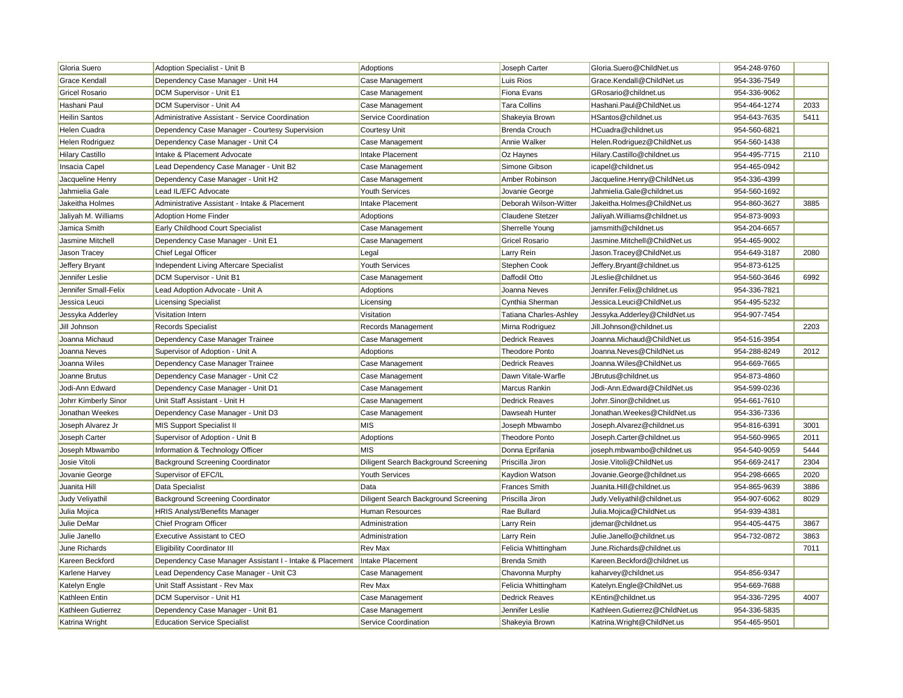| Gloria Suero           | Adoption Specialist - Unit B                             | <b>Adoptions</b>                     | Joseph Carter                 | Gloria.Suero@ChildNet.us       | 954-248-9760 |      |
|------------------------|----------------------------------------------------------|--------------------------------------|-------------------------------|--------------------------------|--------------|------|
| Grace Kendall          | Dependency Case Manager - Unit H4                        | Case Management                      | Luis Rios                     | Grace.Kendall@ChildNet.us      | 954-336-7549 |      |
| <b>Gricel Rosario</b>  | DCM Supervisor - Unit E1                                 | Case Management                      | Fiona Evans                   | GRosario@childnet.us           | 954-336-9062 |      |
| Hashani Paul           | DCM Supervisor - Unit A4                                 | Case Management                      | <b>Tara Collins</b>           | Hashani.Paul@ChildNet.us       | 954-464-1274 | 2033 |
| Heilin Santos          | Administrative Assistant - Service Coordination          | Service Coordination                 | Shakeyia Brown                | HSantos@childnet.us            | 954-643-7635 | 5411 |
| Helen Cuadra           | Dependency Case Manager - Courtesy Supervision           | Courtesy Unit                        | <b>Brenda Crouch</b>          | HCuadra@childnet.us            | 954-560-6821 |      |
| Helen Rodriguez        | Dependency Case Manager - Unit C4                        | Case Management                      | Annie Walker                  | Helen.Rodriguez@ChildNet.us    | 954-560-1438 |      |
| <b>Hilary Castillo</b> | Intake & Placement Advocate                              | <b>Intake Placement</b>              | Oz Haynes                     | Hilary.Castillo@childnet.us    | 954-495-7715 | 2110 |
| Insacia Capel          | Lead Dependency Case Manager - Unit B2                   | Case Management                      | Simone Gibson                 | icapel@childnet.us             | 954-465-0942 |      |
| Jacqueline Henry       | Dependency Case Manager - Unit H2                        | Case Management                      | Amber Robinson                | Jacqueline.Henry@ChildNet.us   | 954-336-4399 |      |
| Jahmielia Gale         | Lead IL/EFC Advocate                                     | <b>Youth Services</b>                | Jovanie George                | Jahmielia.Gale@childnet.us     | 954-560-1692 |      |
| Jakeitha Holmes        | Administrative Assistant - Intake & Placement            | <b>Intake Placement</b>              | Deborah Wilson-Witter         | Jakeitha.Holmes@ChildNet.us    | 954-860-3627 | 3885 |
| Jaliyah M. Williams    | <b>Adoption Home Finder</b>                              | Adoptions                            | Claudene Stetzer              | Jaliyah. Williams@childnet.us  | 954-873-9093 |      |
| Jamica Smith           | Early Childhood Court Specialist                         | Case Management                      | Sherrelle Young               | jamsmith@childnet.us           | 954-204-6657 |      |
| Jasmine Mitchell       | Dependency Case Manager - Unit E1                        | Case Management                      | Gricel Rosario                | Jasmine.Mitchell@ChildNet.us   | 954-465-9002 |      |
| Jason Tracey           | Chief Legal Officer                                      | Legal                                | Larry Rein                    | Jason.Tracey@ChildNet.us       | 954-649-3187 | 2080 |
| Jeffery Bryant         | Independent Living Aftercare Specialist                  | Youth Services                       | Stephen Cook                  | Jeffery.Bryant@childnet.us     | 954-873-6125 |      |
| Jennifer Leslie        | DCM Supervisor - Unit B1                                 | Case Management                      | Daffodil Otto                 | JLeslie@childnet.us            | 954-560-3646 | 6992 |
| Jennifer Small-Felix   | Lead Adoption Advocate - Unit A                          | Adoptions                            | Joanna Neves                  | Jennifer.Felix@childnet.us     | 954-336-7821 |      |
| Jessica Leuci          | <b>Licensing Specialist</b>                              | Licensing                            | Cynthia Sherman               | Jessica.Leuci@ChildNet.us      | 954-495-5232 |      |
| Jessyka Adderley       | Visitation Intern                                        | Visitation                           | <b>Tatiana Charles-Ashley</b> | Jessyka.Adderley@ChildNet.us   | 954-907-7454 |      |
| Jill Johnson           | <b>Records Specialist</b>                                | Records Management                   | Mirna Rodriguez               | Jill.Johnson@childnet.us       |              | 2203 |
| Joanna Michaud         | Dependency Case Manager Trainee                          | Case Management                      | <b>Dedrick Reaves</b>         | Joanna.Michaud@ChildNet.us     | 954-516-3954 |      |
| Joanna Neves           | Supervisor of Adoption - Unit A                          | Adoptions                            | <b>Theodore Ponto</b>         | Joanna.Neves@ChildNet.us       | 954-288-8249 | 2012 |
| Joanna Wiles           | Dependency Case Manager Trainee                          | Case Management                      | <b>Dedrick Reaves</b>         | Joanna. Wiles@ChildNet.us      | 954-669-7665 |      |
| Joanne Brutus          | Dependency Case Manager - Unit C2                        | Case Management                      | Dawn Vitale-Warfle            | JBrutus@childnet.us            | 954-873-4860 |      |
| Jodi-Ann Edward        | Dependency Case Manager - Unit D1                        | Case Management                      | Marcus Rankin                 | Jodi-Ann.Edward@ChildNet.us    | 954-599-0236 |      |
| Johrr Kimberly Sinor   | Unit Staff Assistant - Unit H                            | Case Management                      | <b>Dedrick Reaves</b>         | Johrr.Sinor@childnet.us        | 954-661-7610 |      |
| Jonathan Weekes        | Dependency Case Manager - Unit D3                        | Case Management                      | Dawseah Hunter                | Jonathan.Weekes@ChildNet.us    | 954-336-7336 |      |
| Joseph Alvarez Jr      | <b>MIS Support Specialist II</b>                         | <b>MIS</b>                           | Joseph Mbwambo                | Joseph.Alvarez@childnet.us     | 954-816-6391 | 3001 |
| Joseph Carter          | Supervisor of Adoption - Unit B                          | Adoptions                            | <b>Theodore Ponto</b>         | Joseph.Carter@childnet.us      | 954-560-9965 | 2011 |
| Joseph Mbwambo         | Information & Technology Officer                         | <b>MIS</b>                           | Donna Eprifania               | joseph.mbwambo@childnet.us     | 954-540-9059 | 5444 |
| Josie Vitoli           | <b>Background Screening Coordinator</b>                  | Diligent Search Background Screening | Priscilla Jiron               | Josie. Vitoli@ChildNet.us      | 954-669-2417 | 2304 |
| Jovanie George         | Supervisor of EFC/IL                                     | Youth Services                       | Kaydion Watson                | Jovanie.George@childnet.us     | 954-298-6665 | 2020 |
| Juanita Hill           | Data Specialist                                          | Data                                 | <b>Frances Smith</b>          | Juanita.Hill@childnet.us       | 954-865-9639 | 3886 |
| Judy Veliyathil        | <b>Background Screening Coordinator</b>                  | Diligent Search Background Screening | Priscilla Jiron               | Judy. Veliyathil@childnet.us   | 954-907-6062 | 8029 |
| Julia Mojica           | <b>HRIS Analyst/Benefits Manager</b>                     | Human Resources                      | Rae Bullard                   | Julia.Mojica@ChildNet.us       | 954-939-4381 |      |
| Julie DeMar            | Chief Program Officer                                    | Administration                       | Larry Rein                    | jdemar@childnet.us             | 954-405-4475 | 3867 |
| Julie Janello          | <b>Executive Assistant to CEO</b>                        | Administration                       | Larry Rein                    | Julie.Janello@childnet.us      | 954-732-0872 | 3863 |
| June Richards          | <b>Eligibility Coordinator III</b>                       | Rev Max                              | Felicia Whittingham           | June.Richards@childnet.us      |              | 7011 |
| Kareen Beckford        | Dependency Case Manager Assistant I - Intake & Placement | Intake Placement                     | <b>Brenda Smith</b>           | Kareen.Beckford@childnet.us    |              |      |
| Karlene Harvey         | Lead Dependency Case Manager - Unit C3                   | Case Management                      | Chavonna Murphy               | kaharvey@childnet.us           | 954-856-9347 |      |
| Katelyn Engle          | Unit Staff Assistant - Rev Max                           | Rev Max                              | Felicia Whittingham           | Katelyn.Engle@ChildNet.us      | 954-669-7688 |      |
| Kathleen Entin         | DCM Supervisor - Unit H1                                 | Case Management                      | <b>Dedrick Reaves</b>         | KEntin@childnet.us             | 954-336-7295 | 4007 |
| Kathleen Gutierrez     | Dependency Case Manager - Unit B1                        | Case Management                      | Jennifer Leslie               | Kathleen.Gutierrez@ChildNet.us | 954-336-5835 |      |
| Katrina Wright         | <b>Education Service Specialist</b>                      | Service Coordination                 | Shakeyia Brown                | Katrina.Wright@ChildNet.us     | 954-465-9501 |      |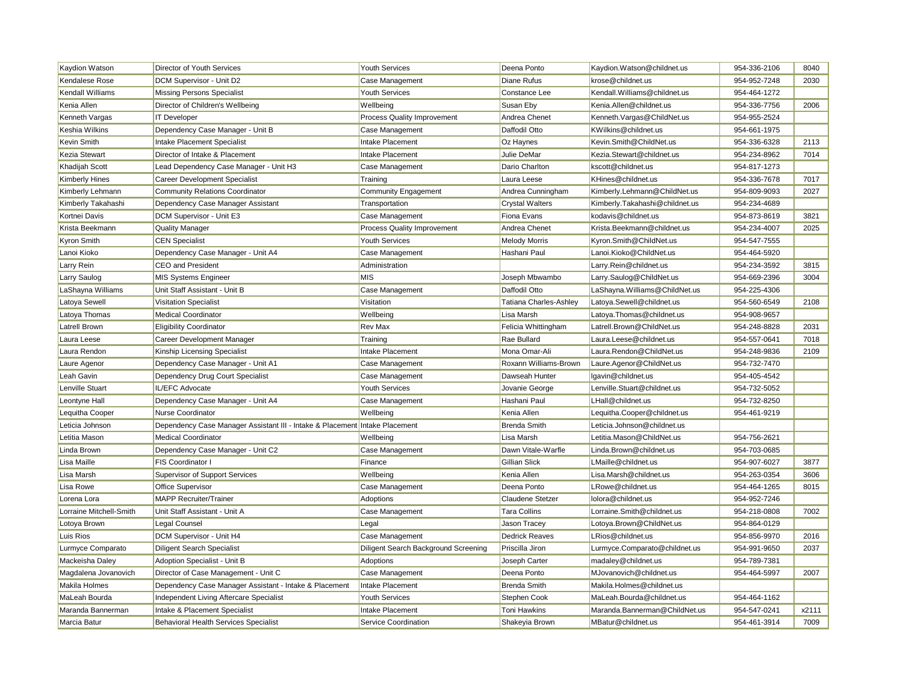| Kaydion Watson          | Director of Youth Services                                                  | <b>Youth Services</b>                | Deena Ponto            | Kaydion.Watson@childnet.us     | 954-336-2106 | 8040  |
|-------------------------|-----------------------------------------------------------------------------|--------------------------------------|------------------------|--------------------------------|--------------|-------|
| Kendalese Rose          | DCM Supervisor - Unit D2                                                    | Case Management                      | Diane Rufus            | krose@childnet.us              | 954-952-7248 | 2030  |
| Kendall Williams        | <b>Missing Persons Specialist</b>                                           | <b>Youth Services</b>                | Constance Lee          | Kendall. Williams@childnet.us  | 954-464-1272 |       |
| Kenia Allen             | Director of Children's Wellbeing                                            | Wellbeing                            | Susan Eby              | Kenia.Allen@childnet.us        | 954-336-7756 | 2006  |
| Kenneth Vargas          | <b>IT Developer</b>                                                         | Process Quality Improvement          | Andrea Chenet          | Kenneth. Vargas@ChildNet.us    | 954-955-2524 |       |
| Keshia Wilkins          | Dependency Case Manager - Unit B                                            | Case Management                      | Daffodil Otto          | KWilkins@childnet.us           | 954-661-1975 |       |
| Kevin Smith             | Intake Placement Specialist                                                 | Intake Placement                     | Oz Haynes              | Kevin.Smith@ChildNet.us        | 954-336-6328 | 2113  |
| Kezia Stewart           | Director of Intake & Placement                                              | Intake Placement                     | Julie DeMar            | Kezia.Stewart@childnet.us      | 954-234-8962 | 7014  |
| Khadijah Scott          | Lead Dependency Case Manager - Unit H3                                      | Case Management                      | Dario Charlton         | kscott@childnet.us             | 954-817-1273 |       |
| <b>Kimberly Hines</b>   | <b>Career Development Specialist</b>                                        | Training                             | Laura Leese            | KHines@childnet.us             | 954-336-7678 | 7017  |
| Kimberly Lehmann        | <b>Community Relations Coordinator</b>                                      | <b>Community Engagement</b>          | Andrea Cunningham      | Kimberly.Lehmann@ChildNet.us   | 954-809-9093 | 2027  |
| Kimberly Takahashi      | Dependency Case Manager Assistant                                           | Transportation                       | <b>Crystal Walters</b> | Kimberly.Takahashi@childnet.us | 954-234-4689 |       |
| Kortnei Davis           | DCM Supervisor - Unit E3                                                    | Case Management                      | Fiona Evans            | kodavis@childnet.us            | 954-873-8619 | 3821  |
| Krista Beekmann         | <b>Quality Manager</b>                                                      | Process Quality Improvement          | Andrea Chenet          | Krista.Beekmann@childnet.us    | 954-234-4007 | 2025  |
| Kyron Smith             | <b>CEN Specialist</b>                                                       | <b>Youth Services</b>                | <b>Melody Morris</b>   | Kyron.Smith@ChildNet.us        | 954-547-7555 |       |
| Lanoi Kioko             | Dependency Case Manager - Unit A4                                           | Case Management                      | Hashani Paul           | Lanoi.Kioko@ChildNet.us        | 954-464-5920 |       |
| Larry Rein              | CEO and President                                                           | Administration                       |                        | Larry.Rein@childnet.us         | 954-234-3592 | 3815  |
| Larry Saulog            | <b>MIS Systems Engineer</b>                                                 | <b>MIS</b>                           | Joseph Mbwambo         | Larry.Saulog@ChildNet.us       | 954-669-2396 | 3004  |
| LaShayna Williams       | Unit Staff Assistant - Unit B                                               | Case Management                      | Daffodil Otto          | LaShayna. Williams@ChildNet.us | 954-225-4306 |       |
| Latoya Sewell           | <b>Visitation Specialist</b>                                                | Visitation                           | Tatiana Charles-Ashley | Latoya.Sewell@childnet.us      | 954-560-6549 | 2108  |
| Latoya Thomas           | <b>Medical Coordinator</b>                                                  | Wellbeing                            | Lisa Marsh             | Latoya.Thomas@childnet.us      | 954-908-9657 |       |
| Latrell Brown           | <b>Eligibility Coordinator</b>                                              | <b>Rev Max</b>                       | Felicia Whittingham    | Latrell.Brown@ChildNet.us      | 954-248-8828 | 2031  |
| Laura Leese             | <b>Career Development Manager</b>                                           | Training                             | Rae Bullard            | Laura.Leese@childnet.us        | 954-557-0641 | 7018  |
| Laura Rendon            | Kinship Licensing Specialist                                                | Intake Placement                     | Mona Omar-Ali          | Laura.Rendon@ChildNet.us       | 954-248-9836 | 2109  |
| Laure Agenor            | Dependency Case Manager - Unit A1                                           | Case Management                      | Roxann Williams-Brown  | Laure.Agenor@ChildNet.us       | 954-732-7470 |       |
| Leah Gavin              | Dependency Drug Court Specialist                                            | Case Management                      | Dawseah Hunter         | lgavin@childnet.us             | 954-405-4542 |       |
| Lenville Stuart         | IL/EFC Advocate                                                             | Youth Services                       | Jovanie George         | Lenville.Stuart@childnet.us    | 954-732-5052 |       |
| Leontyne Hall           | Dependency Case Manager - Unit A4                                           | Case Management                      | Hashani Paul           | LHall@childnet.us              | 954-732-8250 |       |
| Lequitha Cooper         | <b>Nurse Coordinator</b>                                                    | Wellbeing                            | Kenia Allen            | Lequitha.Cooper@childnet.us    | 954-461-9219 |       |
| Leticia Johnson         | Dependency Case Manager Assistant III - Intake & Placement Intake Placement |                                      | <b>Brenda Smith</b>    | Leticia.Johnson@childnet.us    |              |       |
| Letitia Mason           | Medical Coordinator                                                         | Wellbeing                            | Lisa Marsh             | Letitia.Mason@ChildNet.us      | 954-756-2621 |       |
| Linda Brown             | Dependency Case Manager - Unit C2                                           | Case Management                      | Dawn Vitale-Warfle     | Linda.Brown@childnet.us        | 954-703-0685 |       |
| Lisa Maille             | FIS Coordinator I                                                           | Finance                              | Gillian Slick          | LMaille@childnet.us            | 954-907-6027 | 3877  |
| Lisa Marsh              | Supervisor of Support Services                                              | Wellbeing                            | Kenia Allen            | Lisa.Marsh@childnet.us         | 954-263-0354 | 3606  |
| Lisa Rowe               | Office Supervisor                                                           | Case Management                      | Deena Ponto            | LRowe@childnet.us              | 954-464-1265 | 8015  |
| Lorena Lora             | <b>MAPP Recruiter/Trainer</b>                                               | Adoptions                            | Claudene Stetzer       | lolora@childnet.us             | 954-952-7246 |       |
| Lorraine Mitchell-Smith | Unit Staff Assistant - Unit A                                               | Case Management                      | <b>Tara Collins</b>    | Lorraine.Smith@childnet.us     | 954-218-0808 | 7002  |
| Lotoya Brown            | Legal Counsel                                                               | Legal                                | Jason Tracey           | Lotoya.Brown@ChildNet.us       | 954-864-0129 |       |
| Luis Rios               | DCM Supervisor - Unit H4                                                    | Case Management                      | <b>Dedrick Reaves</b>  | LRios@childnet.us              | 954-856-9970 | 2016  |
| Lurmyce Comparato       | <b>Diligent Search Specialist</b>                                           | Diligent Search Background Screening | Priscilla Jiron        | Lurmyce.Comparato@childnet.us  | 954-991-9650 | 2037  |
| Mackeisha Daley         | Adoption Specialist - Unit B                                                | Adoptions                            | Joseph Carter          | madaley@childnet.us            | 954-789-7381 |       |
| Magdalena Jovanovich    | Director of Case Management - Unit C                                        | Case Management                      | Deena Ponto            | MJovanovich@childnet.us        | 954-464-5997 | 2007  |
| Makila Holmes           | Dependency Case Manager Assistant - Intake & Placement                      | Intake Placement                     | <b>Brenda Smith</b>    | Makila.Holmes@childnet.us      |              |       |
| MaLeah Bourda           | Independent Living Aftercare Specialist                                     | <b>Youth Services</b>                | Stephen Cook           | MaLeah.Bourda@childnet.us      | 954-464-1162 |       |
| Maranda Bannerman       | Intake & Placement Specialist                                               | Intake Placement                     | Toni Hawkins           | Maranda.Bannerman@ChildNet.us  | 954-547-0241 | x2111 |
| Marcia Batur            | <b>Behavioral Health Services Specialist</b>                                | Service Coordination                 | Shakeyia Brown         | MBatur@childnet.us             | 954-461-3914 | 7009  |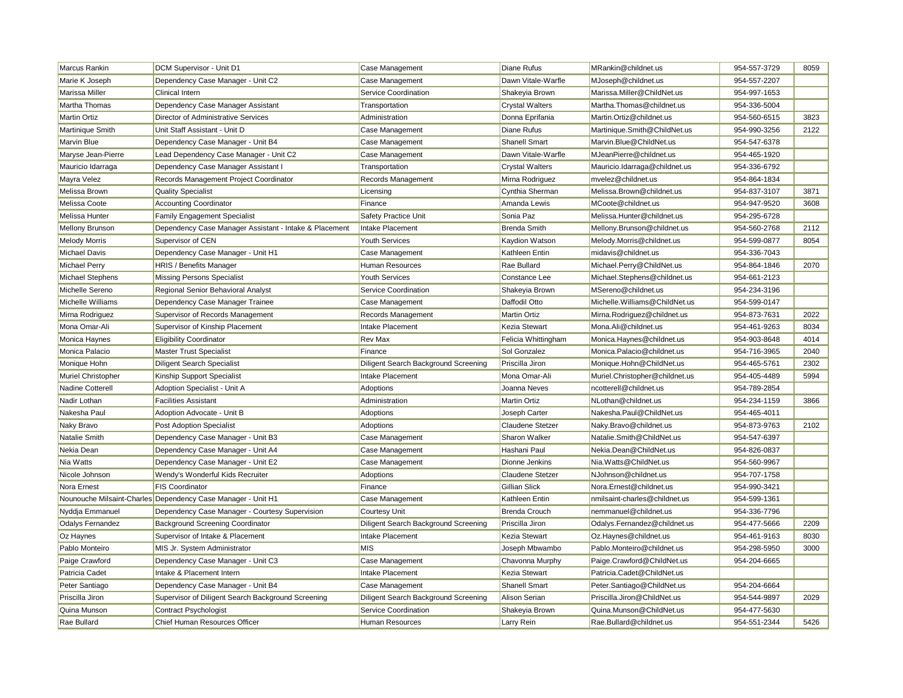| Marcus Rankin           | DCM Supervisor - Unit D1                                     | Case Management                      | Diane Rufus             | MRankin@childnet.us            | 954-557-3729 | 8059 |
|-------------------------|--------------------------------------------------------------|--------------------------------------|-------------------------|--------------------------------|--------------|------|
| Marie K Joseph          | Dependency Case Manager - Unit C2                            | Case Management                      | Dawn Vitale-Warfle      | MJoseph@childnet.us            | 954-557-2207 |      |
| Marissa Miller          | <b>Clinical Intern</b>                                       | Service Coordination                 | Shakeyia Brown          | Marissa.Miller@ChildNet.us     | 954-997-1653 |      |
| Martha Thomas           | Dependency Case Manager Assistant                            | Transportation                       | <b>Crystal Walters</b>  | Martha.Thomas@childnet.us      | 954-336-5004 |      |
| <b>Martin Ortiz</b>     | Director of Administrative Services                          | Administration                       | Donna Eprifania         | Martin.Ortiz@childnet.us       | 954-560-6515 | 3823 |
| Martinique Smith        | Unit Staff Assistant - Unit D                                | Case Management                      | Diane Rufus             | Martinique.Smith@ChildNet.us   | 954-990-3256 | 2122 |
| Marvin Blue             | Dependency Case Manager - Unit B4                            | Case Management                      | <b>Shanell Smart</b>    | Marvin.Blue@ChildNet.us        | 954-547-6378 |      |
| Maryse Jean-Pierre      | Lead Dependency Case Manager - Unit C2                       | Case Management                      | Dawn Vitale-Warfle      | MJeanPierre@childnet.us        | 954-465-1920 |      |
| Mauricio Idarraga       | Dependency Case Manager Assistant I                          | Transportation                       | <b>Crystal Walters</b>  | Mauricio.Idarraga@childnet.us  | 954-336-6792 |      |
| Mayra Velez             | Records Management Project Coordinator                       | Records Management                   | Mirna Rodriguez         | mvelez@childnet.us             | 954-864-1834 |      |
| Melissa Brown           | <b>Quality Specialist</b>                                    | Licensing                            | Cynthia Sherman         | Melissa.Brown@childnet.us      | 954-837-3107 | 3871 |
| Melissa Coote           | <b>Accounting Coordinator</b>                                | Finance                              | Amanda Lewis            | MCoote@childnet.us             | 954-947-9520 | 3608 |
| Melissa Hunter          | <b>Family Engagement Specialist</b>                          | Safety Practice Unit                 | Sonia Paz               | Melissa.Hunter@childnet.us     | 954-295-6728 |      |
| <b>Mellony Brunson</b>  | Dependency Case Manager Assistant - Intake & Placement       | Intake Placement                     | <b>Brenda Smith</b>     | Mellony.Brunson@childnet.us    | 954-560-2768 | 2112 |
| <b>Melody Morris</b>    | Supervisor of CEN                                            | Youth Services                       | Kaydion Watson          | Melody.Morris@childnet.us      | 954-599-0877 | 8054 |
| Michael Davis           | Dependency Case Manager - Unit H1                            | Case Management                      | Kathleen Entin          | midavis@childnet.us            | 954-336-7043 |      |
| <b>Michael Perry</b>    | HRIS / Benefits Manager                                      | Human Resources                      | Rae Bullard             | Michael.Perry@ChildNet.us      | 954-864-1846 | 2070 |
| Michael Stephens        | <b>Missing Persons Specialist</b>                            | <b>Youth Services</b>                | Constance Lee           | Michael.Stephens@childnet.us   | 954-661-2123 |      |
| Michelle Sereno         | Regional Senior Behavioral Analyst                           | Service Coordination                 | Shakeyia Brown          | MSereno@childnet.us            | 954-234-3196 |      |
| Michelle Williams       | Dependency Case Manager Trainee                              | Case Management                      | Daffodil Otto           | Michelle. Williams@ChildNet.us | 954-599-0147 |      |
| Mirna Rodriguez         | Supervisor of Records Management                             | Records Management                   | <b>Martin Ortiz</b>     | Mirna.Rodriguez@childnet.us    | 954-873-7631 | 2022 |
| Mona Omar-Ali           | Supervisor of Kinship Placement                              | Intake Placement                     | Kezia Stewart           | Mona.Ali@childnet.us           | 954-461-9263 | 8034 |
| Monica Haynes           | <b>Eligibility Coordinator</b>                               | Rev Max                              | Felicia Whittingham     | Monica.Haynes@childnet.us      | 954-903-8648 | 4014 |
| Monica Palacio          | <b>Master Trust Specialist</b>                               | Finance                              | Sol Gonzalez            | Monica.Palacio@childnet.us     | 954-716-3965 | 2040 |
| Monique Hohn            | <b>Diligent Search Specialist</b>                            | Diligent Search Background Screening | Priscilla Jiron         | Monique.Hohn@ChildNet.us       | 954-465-5761 | 2302 |
| Muriel Christopher      | Kinship Support Specialist                                   | Intake Placement                     | Mona Omar-Ali           | Muriel.Christopher@childnet.us | 954-405-4489 | 5994 |
| Nadine Cotterell        | Adoption Specialist - Unit A                                 | Adoptions                            | Joanna Neves            | ncotterell@childnet.us         | 954-789-2854 |      |
| Nadir Lothan            | <b>Facilities Assistant</b>                                  | Administration                       | <b>Martin Ortiz</b>     | NLothan@childnet.us            | 954-234-1159 | 3866 |
| Nakesha Paul            | Adoption Advocate - Unit B                                   | Adoptions                            | Joseph Carter           | Nakesha.Paul@ChildNet.us       | 954-465-4011 |      |
| Naky Bravo              | <b>Post Adoption Specialist</b>                              | Adoptions                            | <b>Claudene Stetzer</b> | Naky.Bravo@childnet.us         | 954-873-9763 | 2102 |
| Natalie Smith           | Dependency Case Manager - Unit B3                            | Case Management                      | Sharon Walker           | Natalie.Smith@ChildNet.us      | 954-547-6397 |      |
| Nekia Dean              | Dependency Case Manager - Unit A4                            | Case Management                      | Hashani Paul            | Nekia.Dean@ChildNet.us         | 954-826-0837 |      |
| Nia Watts               | Dependency Case Manager - Unit E2                            | Case Management                      | Dionne Jenkins          | Nia.Watts@ChildNet.us          | 954-560-9967 |      |
| Nicole Johnson          | Wendy's Wonderful Kids Recruiter                             | Adoptions                            | Claudene Stetzer        | NJohnson@childnet.us           | 954-707-1758 |      |
| Nora Ernest             | <b>FIS Coordinator</b>                                       | Finance                              | Gillian Slick           | Nora.Ernest@childnet.us        | 954-990-3421 |      |
|                         | Nounouche Milsaint-Charles Dependency Case Manager - Unit H1 | Case Management                      | Kathleen Entin          | nmilsaint-charles@childnet.us  | 954-599-1361 |      |
| Nyddja Emmanuel         | Dependency Case Manager - Courtesy Supervision               | <b>Courtesy Unit</b>                 | <b>Brenda Crouch</b>    | nemmanuel@childnet.us          | 954-336-7796 |      |
| <b>Odalys Fernandez</b> | <b>Background Screening Coordinator</b>                      | Diligent Search Background Screening | Priscilla Jiron         | Odalys.Fernandez@childnet.us   | 954-477-5666 | 2209 |
| Oz Haynes               | Supervisor of Intake & Placement                             | Intake Placement                     | Kezia Stewart           | Oz.Haynes@childnet.us          | 954-461-9163 | 8030 |
| Pablo Monteiro          | MIS Jr. System Administrator                                 | <b>MIS</b>                           | Joseph Mbwambo          | Pablo.Monteiro@childnet.us     | 954-298-5950 | 3000 |
| Paige Crawford          | Dependency Case Manager - Unit C3                            | Case Management                      | Chavonna Murphy         | Paige.Crawford@ChildNet.us     | 954-204-6665 |      |
| Patricia Cadet          | Intake & Placement Intern                                    | Intake Placement                     | Kezia Stewart           | Patricia.Cadet@ChildNet.us     |              |      |
| Peter Santiago          | Dependency Case Manager - Unit B4                            | Case Management                      | Shanell Smart           | Peter Santiago@ChildNet.us     | 954-204-6664 |      |
| Priscilla Jiron         | Supervisor of Diligent Search Background Screening           | Diligent Search Background Screening | <b>Alison Serian</b>    | Priscilla.Jiron@ChildNet.us    | 954-544-9897 | 2029 |
| Quina Munson            | Contract Psychologist                                        | Service Coordination                 | Shakeyia Brown          | Quina.Munson@ChildNet.us       | 954-477-5630 |      |
| Rae Bullard             | Chief Human Resources Officer                                | Human Resources                      | Larry Rein              | Rae.Bullard@childnet.us        | 954-551-2344 | 5426 |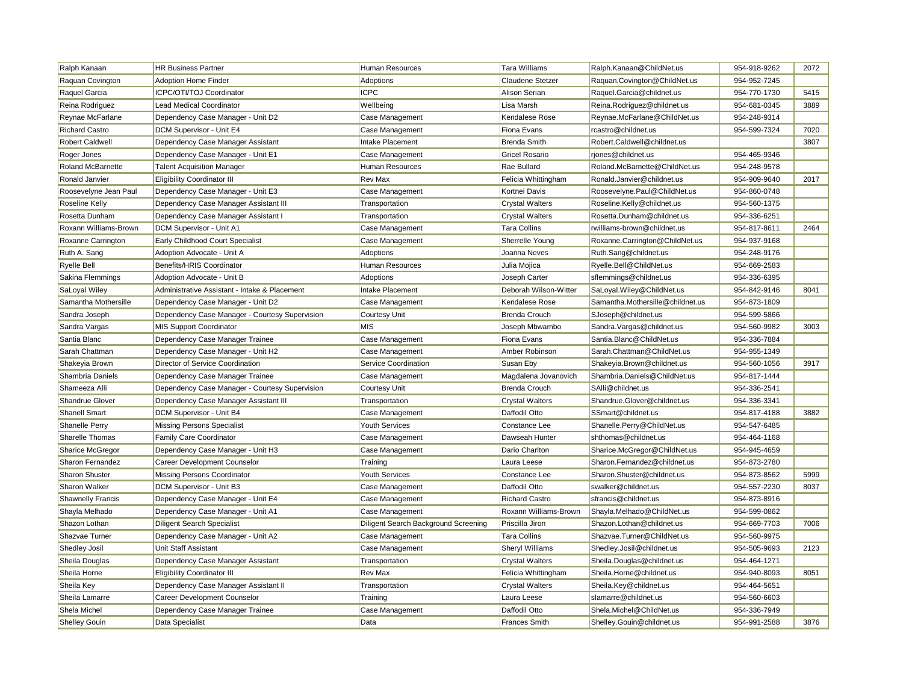| Ralph Kanaan             | <b>HR Business Partner</b>                     | Human Resources                      | <b>Tara Williams</b>   | Ralph.Kanaan@ChildNet.us         | 954-918-9262 | 2072 |
|--------------------------|------------------------------------------------|--------------------------------------|------------------------|----------------------------------|--------------|------|
| Raquan Covington         | <b>Adoption Home Finder</b>                    | Adoptions                            | Claudene Stetzer       | Raquan.Covington@ChildNet.us     | 954-952-7245 |      |
| Raquel Garcia            | ICPC/OTI/TOJ Coordinator                       | <b>ICPC</b>                          | Alison Serian          | Raquel.Garcia@childnet.us        | 954-770-1730 | 5415 |
| Reina Rodriguez          | <b>Lead Medical Coordinator</b>                | Wellbeing                            | Lisa Marsh             | Reina.Rodriguez@childnet.us      | 954-681-0345 | 3889 |
| Reynae McFarlane         | Dependency Case Manager - Unit D2              | Case Management                      | Kendalese Rose         | Reynae.McFarlane@ChildNet.us     | 954-248-9314 |      |
| Richard Castro           | DCM Supervisor - Unit E4                       | Case Management                      | Fiona Evans            | rcastro@childnet.us              | 954-599-7324 | 7020 |
| <b>Robert Caldwell</b>   | Dependency Case Manager Assistant              | Intake Placement                     | <b>Brenda Smith</b>    | Robert.Caldwell@childnet.us      |              | 3807 |
| Roger Jones              | Dependency Case Manager - Unit E1              | Case Management                      | <b>Gricel Rosario</b>  | rjones@childnet.us               | 954-465-9346 |      |
| Roland McBarnette        | <b>Talent Acquisition Manager</b>              | Human Resources                      | Rae Bullard            | Roland.McBarnette@ChildNet.us    | 954-248-9578 |      |
| Ronald Janvier           | <b>Eligibility Coordinator III</b>             | Rev Max                              | Felicia Whittingham    | Ronald.Janvier@childnet.us       | 954-909-9640 | 2017 |
| Roosevelyne Jean Paul    | Dependency Case Manager - Unit E3              | Case Management                      | Kortnei Davis          | Roosevelyne.Paul@ChildNet.us     | 954-860-0748 |      |
| Roseline Kelly           | Dependency Case Manager Assistant III          | Transportation                       | <b>Crystal Walters</b> | Roseline.Kelly@childnet.us       | 954-560-1375 |      |
| Rosetta Dunham           | Dependency Case Manager Assistant I            | Transportation                       | <b>Crystal Walters</b> | Rosetta.Dunham@childnet.us       | 954-336-6251 |      |
| Roxann Williams-Brown    | DCM Supervisor - Unit A1                       | Case Management                      | <b>Tara Collins</b>    | rwilliams-brown@childnet.us      | 954-817-8611 | 2464 |
| Roxanne Carrington       | Early Childhood Court Specialist               | Case Management                      | Sherrelle Young        | Roxanne.Carrington@ChildNet.us   | 954-937-9168 |      |
| Ruth A. Sang             | Adoption Advocate - Unit A                     | Adoptions                            | Joanna Neves           | Ruth.Sang@childnet.us            | 954-248-9176 |      |
| Ryelle Bell              | Benefits/HRIS Coordinator                      | Human Resources                      | Julia Mojica           | Ryelle.Bell@ChildNet.us          | 954-669-2583 |      |
| Sakina Flemmings         | Adoption Advocate - Unit B                     | Adoptions                            | Joseph Carter          | sflemmings@childnet.us           | 954-336-6395 |      |
| SaLoyal Wiley            | Administrative Assistant - Intake & Placement  | Intake Placement                     | Deborah Wilson-Witter  | SaLoyal. Wiley@ChildNet.us       | 954-842-9146 | 8041 |
| Samantha Mothersille     | Dependency Case Manager - Unit D2              | Case Management                      | Kendalese Rose         | Samantha.Mothersille@childnet.us | 954-873-1809 |      |
| Sandra Joseph            | Dependency Case Manager - Courtesy Supervision | <b>Courtesy Unit</b>                 | <b>Brenda Crouch</b>   | SJoseph@childnet.us              | 954-599-5866 |      |
| Sandra Vargas            | <b>MIS Support Coordinator</b>                 | <b>MIS</b>                           | Joseph Mbwambo         | Sandra. Vargas@childnet.us       | 954-560-9982 | 3003 |
| Santia Blanc             | Dependency Case Manager Trainee                | Case Management                      | Fiona Evans            | Santia.Blanc@ChildNet.us         | 954-336-7884 |      |
| Sarah Chattman           | Dependency Case Manager - Unit H2              | Case Management                      | Amber Robinson         | Sarah.Chattman@ChildNet.us       | 954-955-1349 |      |
| Shakeyia Brown           | Director of Service Coordination               | Service Coordination                 | Susan Eby              | Shakeyia.Brown@childnet.us       | 954-560-1056 | 3917 |
| Shambria Daniels         | Dependency Case Manager Trainee                | Case Management                      | Magdalena Jovanovich   | Shambria.Daniels@ChildNet.us     | 954-817-1444 |      |
| Shameeza Alli            | Dependency Case Manager - Courtesy Supervision | <b>Courtesy Unit</b>                 | <b>Brenda Crouch</b>   | SAlli@childnet.us                | 954-336-2541 |      |
| Shandrue Glover          | Dependency Case Manager Assistant III          | Transportation                       | <b>Crystal Walters</b> | Shandrue.Glover@childnet.us      | 954-336-3341 |      |
| Shanell Smart            | DCM Supervisor - Unit B4                       | Case Management                      | Daffodil Otto          | SSmart@childnet.us               | 954-817-4188 | 3882 |
| Shanelle Perry           | <b>Missing Persons Specialist</b>              | <b>Youth Services</b>                | Constance Lee          | Shanelle.Perry@ChildNet.us       | 954-547-6485 |      |
| Sharelle Thomas          | <b>Family Care Coordinator</b>                 | Case Management                      | Dawseah Hunter         | shthomas@childnet.us             | 954-464-1168 |      |
| Sharice McGregor         | Dependency Case Manager - Unit H3              | Case Management                      | Dario Charlton         | Sharice.McGregor@ChildNet.us     | 954-945-4659 |      |
| Sharon Fernandez         | Career Development Counselor                   | Training                             | Laura Leese            | Sharon.Fernandez@childnet.us     | 954-873-2780 |      |
| Sharon Shuster           | <b>Missing Persons Coordinator</b>             | Youth Services                       | Constance Lee          | Sharon.Shuster@childnet.us       | 954-873-8562 | 5999 |
| Sharon Walker            | DCM Supervisor - Unit B3                       | Case Management                      | Daffodil Otto          | swalker@childnet.us              | 954-557-2230 | 8037 |
| <b>Shawnelly Francis</b> | Dependency Case Manager - Unit E4              | Case Management                      | <b>Richard Castro</b>  | sfrancis@childnet.us             | 954-873-8916 |      |
| Shayla Melhado           | Dependency Case Manager - Unit A1              | Case Management                      | Roxann Williams-Brown  | Shayla.Melhado@ChildNet.us       | 954-599-0862 |      |
| Shazon Lothan            | <b>Diligent Search Specialist</b>              | Diligent Search Background Screening | Priscilla Jiron        | Shazon.Lothan@childnet.us        | 954-669-7703 | 7006 |
| Shazvae Turner           | Dependency Case Manager - Unit A2              | Case Management                      | <b>Tara Collins</b>    | Shazvae.Turner@ChildNet.us       | 954-560-9975 |      |
| Shedley Josil            | <b>Unit Staff Assistant</b>                    | Case Management                      | Sheryl Williams        | Shedley.Josil@childnet.us        | 954-505-9693 | 2123 |
| Sheila Douglas           | Dependency Case Manager Assistant              | Transportation                       | <b>Crystal Walters</b> | Sheila.Douglas@childnet.us       | 954-464-1271 |      |
| Sheila Horne             | <b>Eligibility Coordinator III</b>             | Rev Max                              | Felicia Whittingham    | Sheila.Horne@childnet.us         | 954-940-8093 | 8051 |
| Sheila Key               | Dependency Case Manager Assistant II           | Transportation                       | <b>Crystal Walters</b> | Sheila.Key@childnet.us           | 954-464-5651 |      |
| Sheila Lamarre           | Career Development Counselor                   | Training                             | Laura Leese            | slamarre@childnet.us             | 954-560-6603 |      |
| Shela Michel             | Dependency Case Manager Trainee                | Case Management                      | Daffodil Otto          | Shela.Michel@ChildNet.us         | 954-336-7949 |      |
| <b>Shelley Gouin</b>     | Data Specialist                                | Data                                 | <b>Frances Smith</b>   | Shelley.Gouin@childnet.us        | 954-991-2588 | 3876 |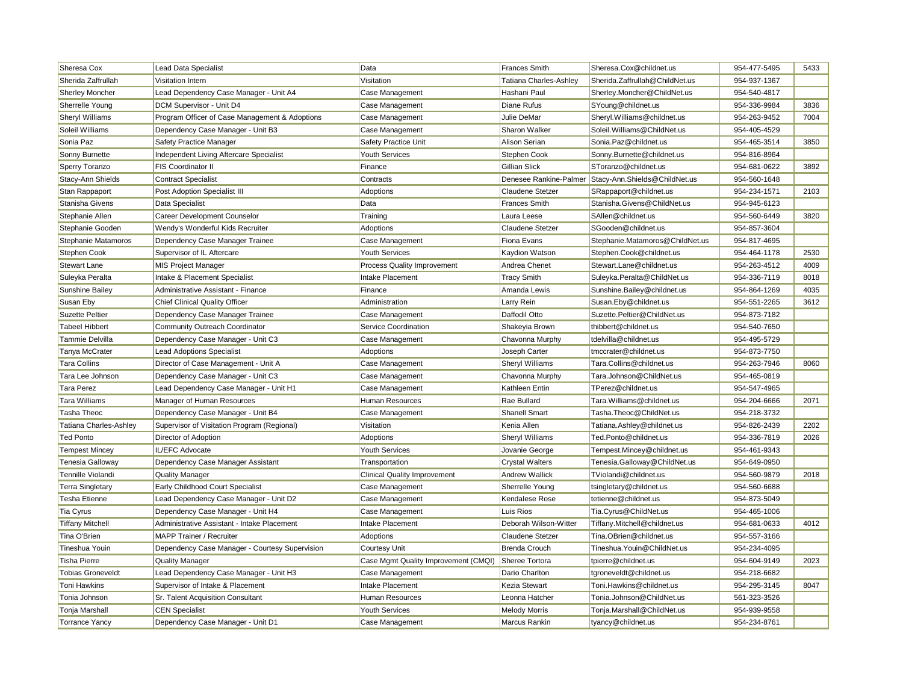| Sheresa Cox              | Lead Data Specialist                           | Data                                 | <b>Frances Smith</b>    | Sheresa.Cox@childnet.us         | 954-477-5495 | 5433 |
|--------------------------|------------------------------------------------|--------------------------------------|-------------------------|---------------------------------|--------------|------|
| Sherida Zaffrullah       | Visitation Intern                              | Visitation                           | Tatiana Charles-Ashley  | Sherida.Zaffrullah@ChildNet.us  | 954-937-1367 |      |
| <b>Sherley Moncher</b>   | Lead Dependency Case Manager - Unit A4         | Case Management                      | Hashani Paul            | Sherley.Moncher@ChildNet.us     | 954-540-4817 |      |
| Sherrelle Young          | DCM Supervisor - Unit D4                       | Case Management                      | Diane Rufus             | SYoung@childnet.us              | 954-336-9984 | 3836 |
| <b>Sheryl Williams</b>   | Program Officer of Case Management & Adoptions | Case Management                      | Julie DeMar             | Sheryl. Williams@childnet.us    | 954-263-9452 | 7004 |
| Soleil Williams          | Dependency Case Manager - Unit B3              | Case Management                      | Sharon Walker           | Soleil.Williams@ChildNet.us     | 954-405-4529 |      |
| Sonia Paz                | Safety Practice Manager                        | Safety Practice Unit                 | Alison Serian           | Sonia.Paz@childnet.us           | 954-465-3514 | 3850 |
| Sonny Burnette           | Independent Living Aftercare Specialist        | <b>Youth Services</b>                | Stephen Cook            | Sonny.Burnette@childnet.us      | 954-816-8964 |      |
| Sperry Toranzo           | FIS Coordinator II                             | Finance                              | Gillian Slick           | SToranzo@childnet.us            | 954-681-0622 | 3892 |
| Stacy-Ann Shields        | <b>Contract Specialist</b>                     | Contracts                            | Denesee Rankine-Palmer  | Stacy-Ann.Shields@ChildNet.us   | 954-560-1648 |      |
| Stan Rappaport           | Post Adoption Specialist III                   | Adoptions                            | Claudene Stetzer        | SRappaport@childnet.us          | 954-234-1571 | 2103 |
| Stanisha Givens          | Data Specialist                                | Data                                 | <b>Frances Smith</b>    | Stanisha.Givens@ChildNet.us     | 954-945-6123 |      |
| Stephanie Allen          | Career Development Counselor                   | Training                             | Laura Leese             | SAllen@childnet.us              | 954-560-6449 | 3820 |
| Stephanie Gooden         | Wendy's Wonderful Kids Recruiter               | Adoptions                            | Claudene Stetzer        | SGooden@childnet.us             | 954-857-3604 |      |
| Stephanie Matamoros      | Dependency Case Manager Trainee                | Case Management                      | Fiona Evans             | Stephanie.Matamoros@ChildNet.us | 954-817-4695 |      |
| <b>Stephen Cook</b>      | Supervisor of IL Aftercare                     | <b>Youth Services</b>                | Kaydion Watson          | Stephen.Cook@childnet.us        | 954-464-1178 | 2530 |
| <b>Stewart Lane</b>      | <b>MIS Project Manager</b>                     | Process Quality Improvement          | Andrea Chenet           | Stewart.Lane@childnet.us        | 954-263-4512 | 4009 |
| Suleyka Peralta          | Intake & Placement Specialist                  | Intake Placement                     | <b>Tracy Smith</b>      | Suleyka.Peralta@ChildNet.us     | 954-336-7119 | 8018 |
| Sunshine Bailey          | Administrative Assistant - Finance             | Finance                              | Amanda Lewis            | Sunshine.Bailey@childnet.us     | 954-864-1269 | 4035 |
| Susan Eby                | <b>Chief Clinical Quality Officer</b>          | Administration                       | Larry Rein              | Susan.Eby@childnet.us           | 954-551-2265 | 3612 |
| <b>Suzette Peltier</b>   | Dependency Case Manager Trainee                | Case Management                      | Daffodil Otto           | Suzette.Peltier@ChildNet.us     | 954-873-7182 |      |
| <b>Tabeel Hibbert</b>    | Community Outreach Coordinator                 | Service Coordination                 | Shakeyia Brown          | thibbert@childnet.us            | 954-540-7650 |      |
| Tammie Delvilla          | Dependency Case Manager - Unit C3              | Case Management                      | Chavonna Murphy         | tdelvilla@childnet.us           | 954-495-5729 |      |
| Tanya McCrater           | <b>Lead Adoptions Specialist</b>               | Adoptions                            | Joseph Carter           | tmccrater@childnet.us           | 954-873-7750 |      |
| <b>Tara Collins</b>      | Director of Case Management - Unit A           | Case Management                      | Sheryl Williams         | Tara.Collins@childnet.us        | 954-263-7946 | 8060 |
| Tara Lee Johnson         | Dependency Case Manager - Unit C3              | Case Management                      | Chavonna Murphy         | Tara.Johnson@ChildNet.us        | 954-465-0819 |      |
| <b>Tara Perez</b>        | Lead Dependency Case Manager - Unit H1         | Case Management                      | Kathleen Entin          | TPerez@childnet.us              | 954-547-4965 |      |
| <b>Tara Williams</b>     | Manager of Human Resources                     | Human Resources                      | Rae Bullard             | Tara.Williams@childnet.us       | 954-204-6666 | 2071 |
| Tasha Theoc              | Dependency Case Manager - Unit B4              | Case Management                      | Shanell Smart           | Tasha.Theoc@ChildNet.us         | 954-218-3732 |      |
| Tatiana Charles-Ashley   | Supervisor of Visitation Program (Regional)    | Visitation                           | Kenia Allen             | Tatiana.Ashley@childnet.us      | 954-826-2439 | 2202 |
| <b>Ted Ponto</b>         | Director of Adoption                           | Adoptions                            | <b>Sheryl Williams</b>  | Ted.Ponto@childnet.us           | 954-336-7819 | 2026 |
| <b>Tempest Mincey</b>    | IL/EFC Advocate                                | <b>Youth Services</b>                | Jovanie George          | Tempest.Mincey@childnet.us      | 954-461-9343 |      |
| Tenesia Galloway         | Dependency Case Manager Assistant              | Transportation                       | <b>Crystal Walters</b>  | Tenesia.Galloway@ChildNet.us    | 954-649-0950 |      |
| Tennille Violandi        | <b>Quality Manager</b>                         | <b>Clinical Quality Improvement</b>  | <b>Andrew Wallick</b>   | TViolandi@childnet.us           | 954-560-9879 | 2018 |
| <b>Terra Singletary</b>  | Early Childhood Court Specialist               | Case Management                      | Sherrelle Young         | tsingletary@childnet.us         | 954-560-6688 |      |
| <b>Tesha Etienne</b>     | Lead Dependency Case Manager - Unit D2         | Case Management                      | Kendalese Rose          | tetienne@childnet.us            | 954-873-5049 |      |
| <b>Tia Cyrus</b>         | Dependency Case Manager - Unit H4              | Case Management                      | Luis Rios               | Tia.Cyrus@ChildNet.us           | 954-465-1006 |      |
| <b>Tiffany Mitchell</b>  | Administrative Assistant - Intake Placement    | Intake Placement                     | Deborah Wilson-Witter   | Tiffany.Mitchell@childnet.us    | 954-681-0633 | 4012 |
| Tina O'Brien             | <b>MAPP Trainer / Recruiter</b>                | Adoptions                            | <b>Claudene Stetzer</b> | Tina.OBrien@childnet.us         | 954-557-3166 |      |
| Tineshua Youin           | Dependency Case Manager - Courtesy Supervision | <b>Courtesy Unit</b>                 | <b>Brenda Crouch</b>    | Tineshua. Youin@ChildNet.us     | 954-234-4095 |      |
| <b>Tisha Pierre</b>      | <b>Quality Manager</b>                         | Case Mgmt Quality Improvement (CMQI) | Sheree Tortora          | tpierre@childnet.us             | 954-604-9149 | 2023 |
| <b>Tobias Groneveldt</b> | Lead Dependency Case Manager - Unit H3         | Case Management                      | Dario Charlton          | tgroneveldt@childnet.us         | 954-218-6682 |      |
| <b>Toni Hawkins</b>      | Supervisor of Intake & Placement               | Intake Placement                     | Kezia Stewart           | Toni.Hawkins@childnet.us        | 954-295-3145 | 8047 |
| Tonia Johnson            | Sr. Talent Acquisition Consultant              | Human Resources                      | Leonna Hatcher          | Tonia.Johnson@ChildNet.us       | 561-323-3526 |      |
| Tonja Marshall           | <b>CEN Specialist</b>                          | <b>Youth Services</b>                | <b>Melody Morris</b>    | Tonja.Marshall@ChildNet.us      | 954-939-9558 |      |
| <b>Torrance Yancy</b>    | Dependency Case Manager - Unit D1              | Case Management                      | Marcus Rankin           | tyancy@childnet.us              | 954-234-8761 |      |